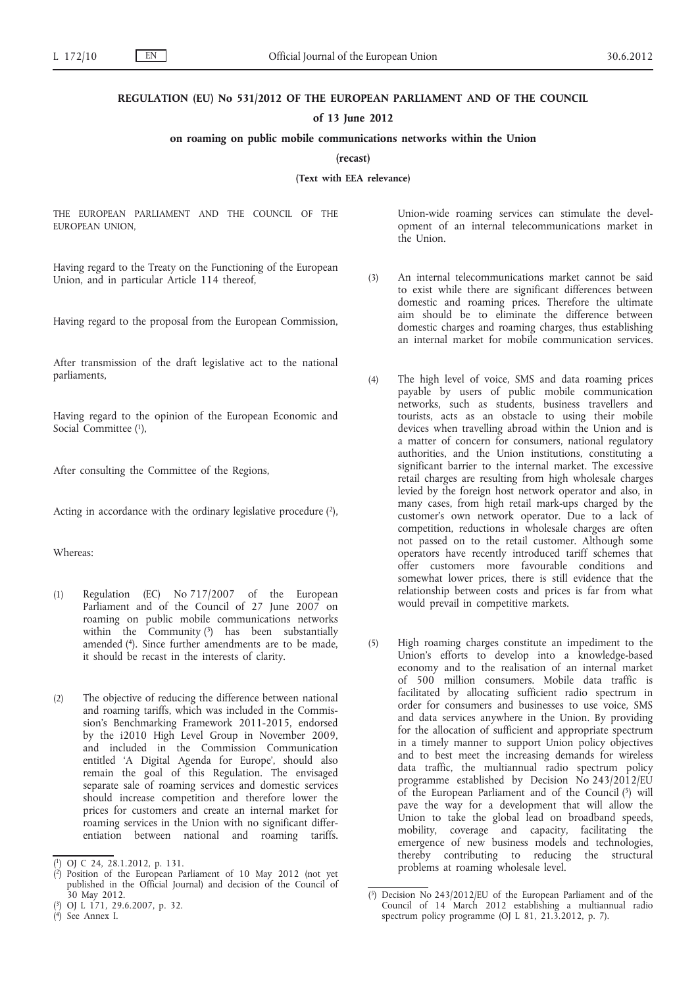#### **REGULATION (EU) No 531/2012 OF THE EUROPEAN PARLIAMENT AND OF THE COUNCIL**

#### **of 13 June 2012**

## **on roaming on public mobile communications networks within the Union**

**(recast)**

**(Text with EEA relevance)**

THE EUROPEAN PARLIAMENT AND THE COUNCIL OF THE EUROPEAN UNION,

Having regard to the Treaty on the Functioning of the European Union, and in particular Article 114 thereof,

Having regard to the proposal from the European Commission,

After transmission of the draft legislative act to the national parliaments,

Having regard to the opinion of the European Economic and Social Committee (1),

After consulting the Committee of the Regions,

Acting in accordance with the ordinary legislative procedure  $(2)$ ,

## Whereas:

- (1) Regulation (EC) No 717/2007 of the European Parliament and of the Council of 27 June 2007 on roaming on public mobile communications networks within the Community (3) has been substantially amended (4). Since further amendments are to be made, it should be recast in the interests of clarity.
- (2) The objective of reducing the difference between national and roaming tariffs, which was included in the Commission's Benchmarking Framework 2011-2015, endorsed by the i2010 High Level Group in November 2009, and included in the Commission Communication entitled 'A Digital Agenda for Europe', should also remain the goal of this Regulation. The envisaged separate sale of roaming services and domestic services should increase competition and therefore lower the prices for customers and create an internal market for roaming services in the Union with no significant differentiation between national and roaming tariffs.

Union-wide roaming services can stimulate the development of an internal telecommunications market in the Union.

- (3) An internal telecommunications market cannot be said to exist while there are significant differences between domestic and roaming prices. Therefore the ultimate aim should be to eliminate the difference between domestic charges and roaming charges, thus establishing an internal market for mobile communication services.
- (4) The high level of voice, SMS and data roaming prices payable by users of public mobile communication networks, such as students, business travellers and tourists, acts as an obstacle to using their mobile devices when travelling abroad within the Union and is a matter of concern for consumers, national regulatory authorities, and the Union institutions, constituting a significant barrier to the internal market. The excessive retail charges are resulting from high wholesale charges levied by the foreign host network operator and also, in many cases, from high retail mark-ups charged by the customer's own network operator. Due to a lack of competition, reductions in wholesale charges are often not passed on to the retail customer. Although some operators have recently introduced tariff schemes that offer customers more favourable conditions and somewhat lower prices, there is still evidence that the relationship between costs and prices is far from what would prevail in competitive markets.
- (5) High roaming charges constitute an impediment to the Union's efforts to develop into a knowledge-based economy and to the realisation of an internal market of 500 million consumers. Mobile data traffic is facilitated by allocating sufficient radio spectrum in order for consumers and businesses to use voice, SMS and data services anywhere in the Union. By providing for the allocation of sufficient and appropriate spectrum in a timely manner to support Union policy objectives and to best meet the increasing demands for wireless data traffic, the multiannual radio spectrum policy programme established by Decision No 243/2012/EU of the European Parliament and of the Council  $(5)$  will pave the way for a development that will allow the Union to take the global lead on broadband speeds, mobility, coverage and capacity, facilitating the emergence of new business models and technologies, thereby contributing to reducing the structural problems at roaming wholesale level.

<sup>(</sup> 1) OJ C 24, 28.1.2012, p. 131.

<sup>(</sup> 2) Position of the European Parliament of 10 May 2012 (not yet published in the Official Journal) and decision of the Council of 30 May 2012.

<sup>(</sup> 3) OJ L 171, 29.6.2007, p. 32.

<sup>(</sup> 4) See Annex I.

<sup>(</sup> 5) Decision No 243/2012/EU of the European Parliament and of the Council of 14 March 2012 establishing a multiannual radio spectrum policy programme (OJ L 81, 21.3.2012, p. 7).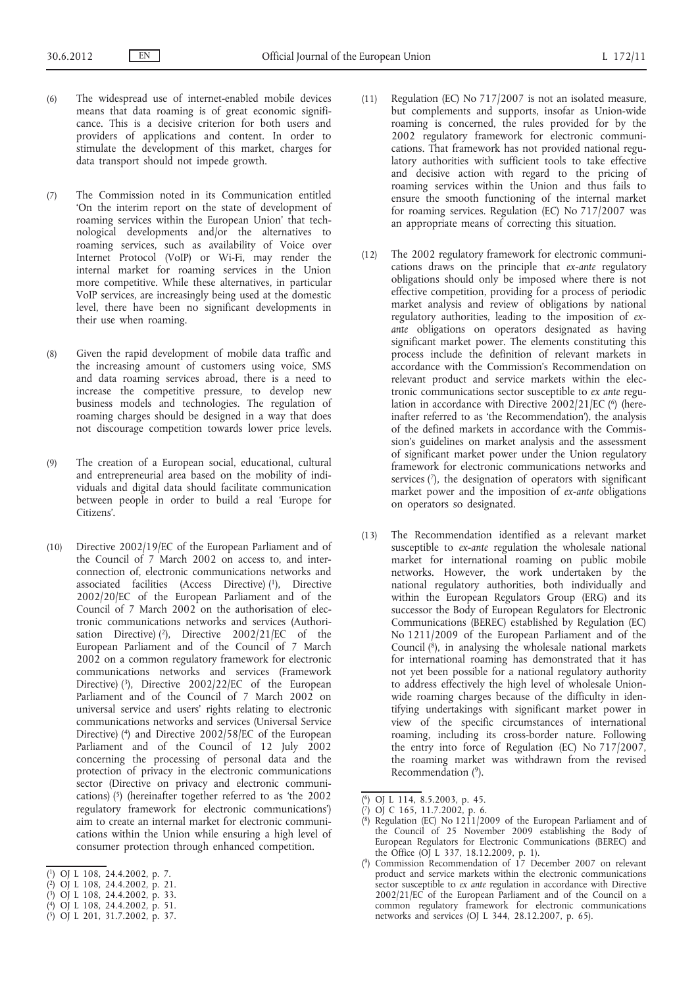- (6) The widespread use of internet-enabled mobile devices means that data roaming is of great economic significance. This is a decisive criterion for both users and providers of applications and content. In order to stimulate the development of this market, charges for data transport should not impede growth.
- (7) The Commission noted in its Communication entitled 'On the interim report on the state of development of roaming services within the European Union' that technological developments and/or the alternatives to roaming services, such as availability of Voice over Internet Protocol (VoIP) or Wi-Fi, may render the internal market for roaming services in the Union more competitive. While these alternatives, in particular VoIP services, are increasingly being used at the domestic level, there have been no significant developments in their use when roaming.
- (8) Given the rapid development of mobile data traffic and the increasing amount of customers using voice, SMS and data roaming services abroad, there is a need to increase the competitive pressure, to develop new business models and technologies. The regulation of roaming charges should be designed in a way that does not discourage competition towards lower price levels.
- (9) The creation of a European social, educational, cultural and entrepreneurial area based on the mobility of individuals and digital data should facilitate communication between people in order to build a real 'Europe for Citizens'.
- (10) Directive 2002/19/EC of the European Parliament and of the Council of 7 March 2002 on access to, and interconnection of, electronic communications networks and associated facilities (Access Directive) (1), Directive 2002/20/EC of the European Parliament and of the Council of 7 March 2002 on the authorisation of electronic communications networks and services (Authorisation Directive)  $(2)$ , Directive 2002/21/EC of the European Parliament and of the Council of 7 March 2002 on a common regulatory framework for electronic communications networks and services (Framework Directive) (3), Directive 2002/22/EC of the European Parliament and of the Council of 7 March 2002 on universal service and users' rights relating to electronic communications networks and services (Universal Service Directive) (4) and Directive 2002/58/EC of the European Parliament and of the Council of 12 July 2002 concerning the processing of personal data and the protection of privacy in the electronic communications sector (Directive on privacy and electronic communications) (5) (hereinafter together referred to as 'the 2002 regulatory framework for electronic communications') aim to create an internal market for electronic communications within the Union while ensuring a high level of consumer protection through enhanced competition.
- ( 1) OJ L 108, 24.4.2002, p. 7.
- ( 2) OJ L 108, 24.4.2002, p. 21.
- ( 3) OJ L 108, 24.4.2002, p. 33.
- ( 4) OJ L 108, 24.4.2002, p. 51.
- ( 5) OJ L 201, 31.7.2002, p. 37.
- (11) Regulation (EC) No 717/2007 is not an isolated measure, but complements and supports, insofar as Union-wide roaming is concerned, the rules provided for by the 2002 regulatory framework for electronic communications. That framework has not provided national regulatory authorities with sufficient tools to take effective and decisive action with regard to the pricing of roaming services within the Union and thus fails to ensure the smooth functioning of the internal market for roaming services. Regulation (EC) No 717/2007 was an appropriate means of correcting this situation.
- (12) The 2002 regulatory framework for electronic communications draws on the principle that *ex-ante* regulatory obligations should only be imposed where there is not effective competition, providing for a process of periodic market analysis and review of obligations by national regulatory authorities, leading to the imposition of *exante* obligations on operators designated as having significant market power. The elements constituting this process include the definition of relevant markets in accordance with the Commission's Recommendation on relevant product and service markets within the electronic communications sector susceptible to *ex ante* regulation in accordance with Directive  $2002/21/EC$  ( $6$ ) (hereinafter referred to as 'the Recommendation'), the analysis of the defined markets in accordance with the Commission's guidelines on market analysis and the assessment of significant market power under the Union regulatory framework for electronic communications networks and services (7), the designation of operators with significant market power and the imposition of *ex-ante* obligations on operators so designated.
- (13) The Recommendation identified as a relevant market susceptible to *ex-ante* regulation the wholesale national market for international roaming on public mobile networks. However, the work undertaken by the national regulatory authorities, both individually and within the European Regulators Group (ERG) and its successor the Body of European Regulators for Electronic Communications (BEREC) established by Regulation (EC) No 1211/2009 of the European Parliament and of the Council (8), in analysing the wholesale national markets for international roaming has demonstrated that it has not yet been possible for a national regulatory authority to address effectively the high level of wholesale Unionwide roaming charges because of the difficulty in identifying undertakings with significant market power in view of the specific circumstances of international roaming, including its cross-border nature. Following the entry into force of Regulation (EC) No 717/2007, the roaming market was withdrawn from the revised Recommendation (9).

<sup>(</sup> 6) OJ L 114, 8.5.2003, p. 45.

<sup>(</sup> 7) OJ C 165, 11.7.2002, p. 6.

<sup>(</sup> 8) Regulation (EC) No 1211/2009 of the European Parliament and of the Council of 25 November 2009 establishing the Body of European Regulators for Electronic Communications (BEREC) and the Office (OJ L 337, 18.12.2009, p. 1).

<sup>(</sup> 9) Commission Recommendation of 17 December 2007 on relevant product and service markets within the electronic communications sector susceptible to *ex ante* regulation in accordance with Directive 2002/21/EC of the European Parliament and of the Council on a common regulatory framework for electronic communications networks and services (OJ L 344, 28.12.2007, p. 65).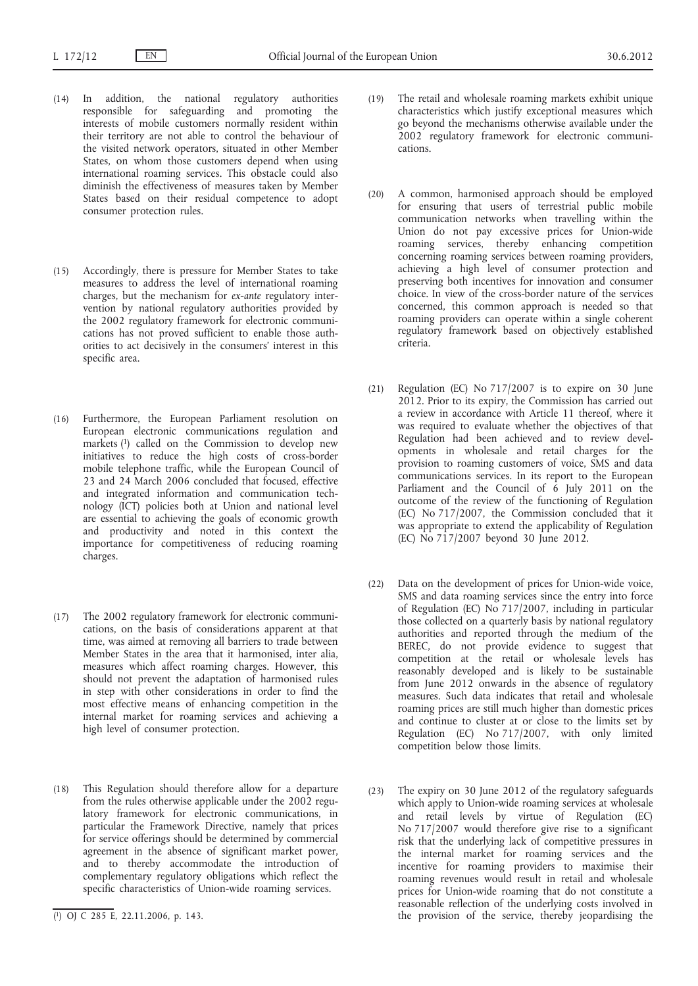- (14) In addition, the national regulatory authorities responsible for safeguarding and promoting the interests of mobile customers normally resident within their territory are not able to control the behaviour of the visited network operators, situated in other Member States, on whom those customers depend when using international roaming services. This obstacle could also diminish the effectiveness of measures taken by Member States based on their residual competence to adopt consumer protection rules.
- (15) Accordingly, there is pressure for Member States to take measures to address the level of international roaming charges, but the mechanism for *ex-ante* regulatory intervention by national regulatory authorities provided by the 2002 regulatory framework for electronic communications has not proved sufficient to enable those authorities to act decisively in the consumers' interest in this specific area.
- (16) Furthermore, the European Parliament resolution on European electronic communications regulation and markets (1) called on the Commission to develop new initiatives to reduce the high costs of cross-border mobile telephone traffic, while the European Council of 23 and 24 March 2006 concluded that focused, effective and integrated information and communication technology (ICT) policies both at Union and national level are essential to achieving the goals of economic growth and productivity and noted in this context the importance for competitiveness of reducing roaming charges.
- (17) The 2002 regulatory framework for electronic communications, on the basis of considerations apparent at that time, was aimed at removing all barriers to trade between Member States in the area that it harmonised, inter alia, measures which affect roaming charges. However, this should not prevent the adaptation of harmonised rules in step with other considerations in order to find the most effective means of enhancing competition in the internal market for roaming services and achieving a high level of consumer protection.
- (18) This Regulation should therefore allow for a departure from the rules otherwise applicable under the 2002 regulatory framework for electronic communications, in particular the Framework Directive, namely that prices for service offerings should be determined by commercial agreement in the absence of significant market power, and to thereby accommodate the introduction of complementary regulatory obligations which reflect the specific characteristics of Union-wide roaming services.
- (19) The retail and wholesale roaming markets exhibit unique characteristics which justify exceptional measures which go beyond the mechanisms otherwise available under the 2002 regulatory framework for electronic communications.
- (20) A common, harmonised approach should be employed for ensuring that users of terrestrial public mobile communication networks when travelling within the Union do not pay excessive prices for Union-wide roaming services, thereby enhancing competition concerning roaming services between roaming providers, achieving a high level of consumer protection and preserving both incentives for innovation and consumer choice. In view of the cross-border nature of the services concerned, this common approach is needed so that roaming providers can operate within a single coherent regulatory framework based on objectively established criteria.
- (21) Regulation (EC) No 717/2007 is to expire on 30 June 2012. Prior to its expiry, the Commission has carried out a review in accordance with Article 11 thereof, where it was required to evaluate whether the objectives of that Regulation had been achieved and to review developments in wholesale and retail charges for the provision to roaming customers of voice, SMS and data communications services. In its report to the European Parliament and the Council of 6 July 2011 on the outcome of the review of the functioning of Regulation (EC) No 717/2007, the Commission concluded that it was appropriate to extend the applicability of Regulation (EC) No 717/2007 beyond 30 June 2012.
- (22) Data on the development of prices for Union-wide voice, SMS and data roaming services since the entry into force of Regulation (EC) No 717/2007, including in particular those collected on a quarterly basis by national regulatory authorities and reported through the medium of the BEREC, do not provide evidence to suggest that competition at the retail or wholesale levels has reasonably developed and is likely to be sustainable from June 2012 onwards in the absence of regulatory measures. Such data indicates that retail and wholesale roaming prices are still much higher than domestic prices and continue to cluster at or close to the limits set by Regulation (EC) No 717/2007, with only limited competition below those limits.
- (23) The expiry on 30 June 2012 of the regulatory safeguards which apply to Union-wide roaming services at wholesale and retail levels by virtue of Regulation (EC) No 717/2007 would therefore give rise to a significant risk that the underlying lack of competitive pressures in the internal market for roaming services and the incentive for roaming providers to maximise their roaming revenues would result in retail and wholesale prices for Union-wide roaming that do not constitute a reasonable reflection of the underlying costs involved in the provision of the service, thereby jeopardising the

<sup>(</sup> 1) OJ C 285 E, 22.11.2006, p. 143.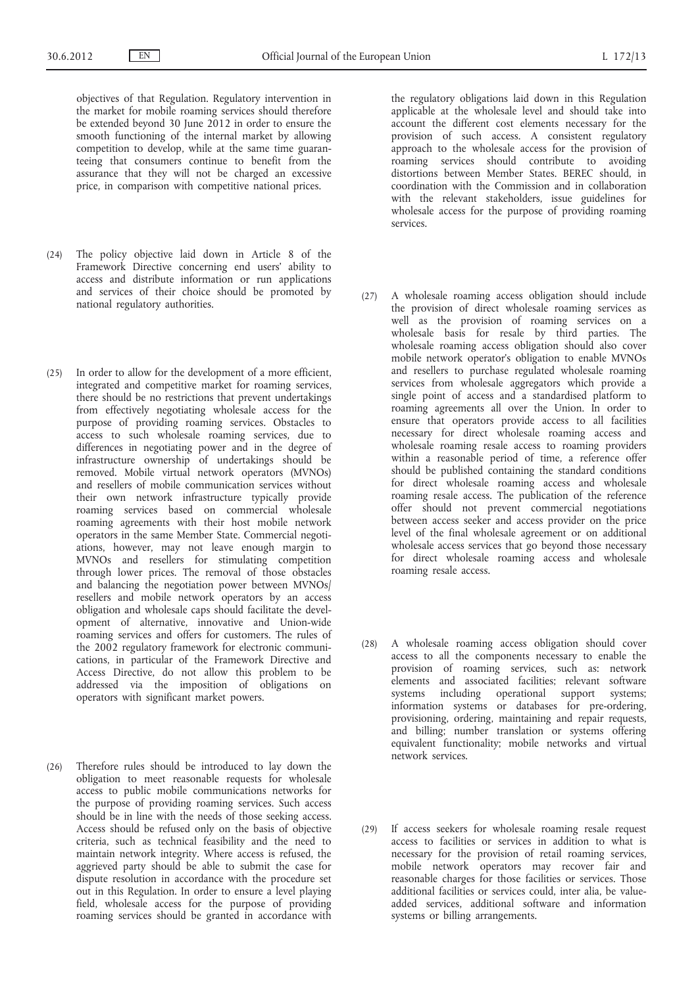objectives of that Regulation. Regulatory intervention in the market for mobile roaming services should therefore be extended beyond 30 June 2012 in order to ensure the smooth functioning of the internal market by allowing competition to develop, while at the same time guaranteeing that consumers continue to benefit from the assurance that they will not be charged an excessive price, in comparison with competitive national prices.

- (24) The policy objective laid down in Article 8 of the Framework Directive concerning end users' ability to access and distribute information or run applications and services of their choice should be promoted by national regulatory authorities.
- (25) In order to allow for the development of a more efficient, integrated and competitive market for roaming services, there should be no restrictions that prevent undertakings from effectively negotiating wholesale access for the purpose of providing roaming services. Obstacles to access to such wholesale roaming services, due to differences in negotiating power and in the degree of infrastructure ownership of undertakings should be removed. Mobile virtual network operators (MVNOs) and resellers of mobile communication services without their own network infrastructure typically provide roaming services based on commercial wholesale roaming agreements with their host mobile network operators in the same Member State. Commercial negotiations, however, may not leave enough margin to MVNOs and resellers for stimulating competition through lower prices. The removal of those obstacles and balancing the negotiation power between MVNOs/ resellers and mobile network operators by an access obligation and wholesale caps should facilitate the development of alternative, innovative and Union-wide roaming services and offers for customers. The rules of the 2002 regulatory framework for electronic communications, in particular of the Framework Directive and Access Directive, do not allow this problem to be addressed via the imposition of obligations on operators with significant market powers.
- (26) Therefore rules should be introduced to lay down the obligation to meet reasonable requests for wholesale access to public mobile communications networks for the purpose of providing roaming services. Such access should be in line with the needs of those seeking access. Access should be refused only on the basis of objective criteria, such as technical feasibility and the need to maintain network integrity. Where access is refused, the aggrieved party should be able to submit the case for dispute resolution in accordance with the procedure set out in this Regulation. In order to ensure a level playing field, wholesale access for the purpose of providing roaming services should be granted in accordance with

the regulatory obligations laid down in this Regulation applicable at the wholesale level and should take into account the different cost elements necessary for the provision of such access. A consistent regulatory approach to the wholesale access for the provision of roaming services should contribute to avoiding distortions between Member States. BEREC should, in coordination with the Commission and in collaboration with the relevant stakeholders, issue guidelines for wholesale access for the purpose of providing roaming services.

- (27) A wholesale roaming access obligation should include the provision of direct wholesale roaming services as well as the provision of roaming services on a wholesale basis for resale by third parties. The wholesale roaming access obligation should also cover mobile network operator's obligation to enable MVNOs and resellers to purchase regulated wholesale roaming services from wholesale aggregators which provide a single point of access and a standardised platform to roaming agreements all over the Union. In order to ensure that operators provide access to all facilities necessary for direct wholesale roaming access and wholesale roaming resale access to roaming providers within a reasonable period of time, a reference offer should be published containing the standard conditions for direct wholesale roaming access and wholesale roaming resale access. The publication of the reference offer should not prevent commercial negotiations between access seeker and access provider on the price level of the final wholesale agreement or on additional wholesale access services that go beyond those necessary for direct wholesale roaming access and wholesale roaming resale access.
- (28) A wholesale roaming access obligation should cover access to all the components necessary to enable the provision of roaming services, such as: network elements and associated facilities; relevant software systems including operational support systems; information systems or databases for pre-ordering, provisioning, ordering, maintaining and repair requests, and billing; number translation or systems offering equivalent functionality; mobile networks and virtual network services.
- (29) If access seekers for wholesale roaming resale request access to facilities or services in addition to what is necessary for the provision of retail roaming services, mobile network operators may recover fair and reasonable charges for those facilities or services. Those additional facilities or services could, inter alia, be valueadded services, additional software and information systems or billing arrangements.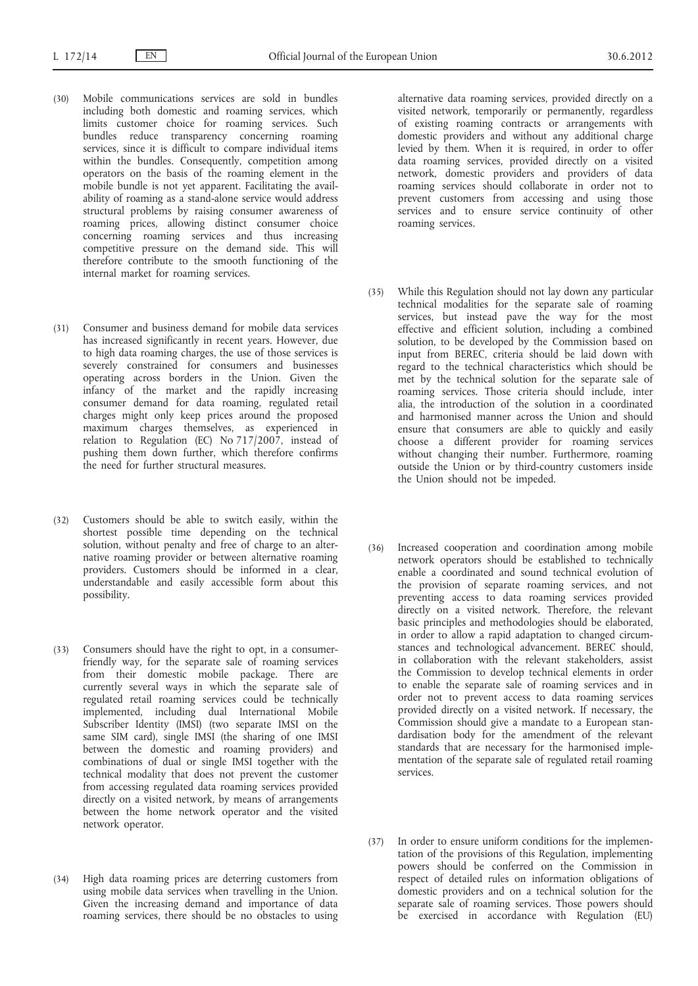- (30) Mobile communications services are sold in bundles including both domestic and roaming services, which limits customer choice for roaming services. Such bundles reduce transparency concerning roaming services, since it is difficult to compare individual items within the bundles. Consequently, competition among operators on the basis of the roaming element in the mobile bundle is not yet apparent. Facilitating the availability of roaming as a stand-alone service would address structural problems by raising consumer awareness of roaming prices, allowing distinct consumer choice concerning roaming services and thus increasing competitive pressure on the demand side. This will therefore contribute to the smooth functioning of the internal market for roaming services.
- (31) Consumer and business demand for mobile data services has increased significantly in recent years. However, due to high data roaming charges, the use of those services is severely constrained for consumers and businesses operating across borders in the Union. Given the infancy of the market and the rapidly increasing consumer demand for data roaming, regulated retail charges might only keep prices around the proposed maximum charges themselves, as experienced in relation to Regulation (EC) No 717/2007, instead of pushing them down further, which therefore confirms the need for further structural measures.
- (32) Customers should be able to switch easily, within the shortest possible time depending on the technical solution, without penalty and free of charge to an alternative roaming provider or between alternative roaming providers. Customers should be informed in a clear, understandable and easily accessible form about this possibility.
- (33) Consumers should have the right to opt, in a consumerfriendly way, for the separate sale of roaming services from their domestic mobile package. There are currently several ways in which the separate sale of regulated retail roaming services could be technically implemented, including dual International Mobile Subscriber Identity (IMSI) (two separate IMSI on the same SIM card), single IMSI (the sharing of one IMSI between the domestic and roaming providers) and combinations of dual or single IMSI together with the technical modality that does not prevent the customer from accessing regulated data roaming services provided directly on a visited network, by means of arrangements between the home network operator and the visited network operator.
- (34) High data roaming prices are deterring customers from using mobile data services when travelling in the Union. Given the increasing demand and importance of data roaming services, there should be no obstacles to using

alternative data roaming services, provided directly on a visited network, temporarily or permanently, regardless of existing roaming contracts or arrangements with domestic providers and without any additional charge levied by them. When it is required, in order to offer data roaming services, provided directly on a visited network, domestic providers and providers of data roaming services should collaborate in order not to prevent customers from accessing and using those services and to ensure service continuity of other roaming services.

- (35) While this Regulation should not lay down any particular technical modalities for the separate sale of roaming services, but instead pave the way for the most effective and efficient solution, including a combined solution, to be developed by the Commission based on input from BEREC, criteria should be laid down with regard to the technical characteristics which should be met by the technical solution for the separate sale of roaming services. Those criteria should include, inter alia, the introduction of the solution in a coordinated and harmonised manner across the Union and should ensure that consumers are able to quickly and easily choose a different provider for roaming services without changing their number. Furthermore, roaming outside the Union or by third-country customers inside the Union should not be impeded.
- (36) Increased cooperation and coordination among mobile network operators should be established to technically enable a coordinated and sound technical evolution of the provision of separate roaming services, and not preventing access to data roaming services provided directly on a visited network. Therefore, the relevant basic principles and methodologies should be elaborated, in order to allow a rapid adaptation to changed circumstances and technological advancement. BEREC should, in collaboration with the relevant stakeholders, assist the Commission to develop technical elements in order to enable the separate sale of roaming services and in order not to prevent access to data roaming services provided directly on a visited network. If necessary, the Commission should give a mandate to a European standardisation body for the amendment of the relevant standards that are necessary for the harmonised implementation of the separate sale of regulated retail roaming services.
- (37) In order to ensure uniform conditions for the implementation of the provisions of this Regulation, implementing powers should be conferred on the Commission in respect of detailed rules on information obligations of domestic providers and on a technical solution for the separate sale of roaming services. Those powers should be exercised in accordance with Regulation (EU)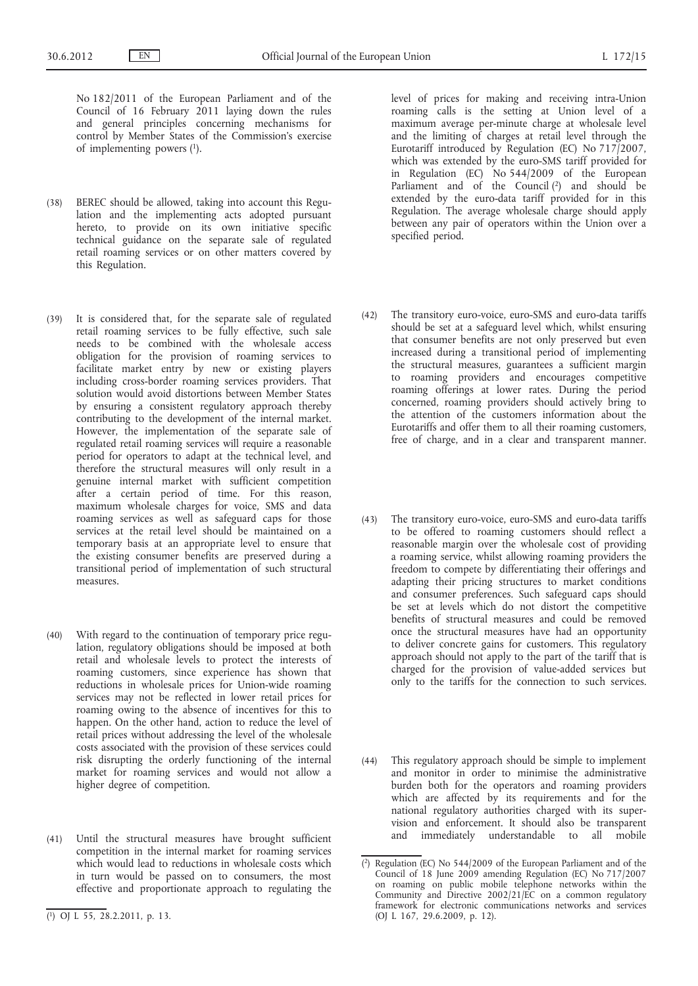No 182/2011 of the European Parliament and of the Council of 16 February 2011 laying down the rules and general principles concerning mechanisms for control by Member States of the Commission's exercise of implementing powers (1).

- (38) BEREC should be allowed, taking into account this Regulation and the implementing acts adopted pursuant hereto, to provide on its own initiative specific technical guidance on the separate sale of regulated retail roaming services or on other matters covered by this Regulation.
- (39) It is considered that, for the separate sale of regulated retail roaming services to be fully effective, such sale needs to be combined with the wholesale access obligation for the provision of roaming services to facilitate market entry by new or existing players including cross-border roaming services providers. That solution would avoid distortions between Member States by ensuring a consistent regulatory approach thereby contributing to the development of the internal market. However, the implementation of the separate sale of regulated retail roaming services will require a reasonable period for operators to adapt at the technical level, and therefore the structural measures will only result in a genuine internal market with sufficient competition after a certain period of time. For this reason, maximum wholesale charges for voice, SMS and data roaming services as well as safeguard caps for those services at the retail level should be maintained on a temporary basis at an appropriate level to ensure that the existing consumer benefits are preserved during a transitional period of implementation of such structural measures.
- (40) With regard to the continuation of temporary price regulation, regulatory obligations should be imposed at both retail and wholesale levels to protect the interests of roaming customers, since experience has shown that reductions in wholesale prices for Union-wide roaming services may not be reflected in lower retail prices for roaming owing to the absence of incentives for this to happen. On the other hand, action to reduce the level of retail prices without addressing the level of the wholesale costs associated with the provision of these services could risk disrupting the orderly functioning of the internal market for roaming services and would not allow a higher degree of competition.
- (41) Until the structural measures have brought sufficient competition in the internal market for roaming services which would lead to reductions in wholesale costs which in turn would be passed on to consumers, the most effective and proportionate approach to regulating the

level of prices for making and receiving intra-Union roaming calls is the setting at Union level of a maximum average per-minute charge at wholesale level and the limiting of charges at retail level through the Eurotariff introduced by Regulation (EC) No 717/2007, which was extended by the euro-SMS tariff provided for in Regulation (EC) No 544/2009 of the European Parliament and of the Council (2) and should be extended by the euro-data tariff provided for in this Regulation. The average wholesale charge should apply between any pair of operators within the Union over a specified period.

- (42) The transitory euro-voice, euro-SMS and euro-data tariffs should be set at a safeguard level which, whilst ensuring that consumer benefits are not only preserved but even increased during a transitional period of implementing the structural measures, guarantees a sufficient margin to roaming providers and encourages competitive roaming offerings at lower rates. During the period concerned, roaming providers should actively bring to the attention of the customers information about the Eurotariffs and offer them to all their roaming customers, free of charge, and in a clear and transparent manner.
- (43) The transitory euro-voice, euro-SMS and euro-data tariffs to be offered to roaming customers should reflect a reasonable margin over the wholesale cost of providing a roaming service, whilst allowing roaming providers the freedom to compete by differentiating their offerings and adapting their pricing structures to market conditions and consumer preferences. Such safeguard caps should be set at levels which do not distort the competitive benefits of structural measures and could be removed once the structural measures have had an opportunity to deliver concrete gains for customers. This regulatory approach should not apply to the part of the tariff that is charged for the provision of value-added services but only to the tariffs for the connection to such services.
- (44) This regulatory approach should be simple to implement and monitor in order to minimise the administrative burden both for the operators and roaming providers which are affected by its requirements and for the national regulatory authorities charged with its supervision and enforcement. It should also be transparent and immediately understandable to all mobile

<sup>(</sup> 1) OJ L 55, 28.2.2011, p. 13.

<sup>(</sup> 2) Regulation (EC) No 544/2009 of the European Parliament and of the Council of 18 June 2009 amending Regulation (EC) No 717/2007 on roaming on public mobile telephone networks within the Community and Directive 2002/21/EC on a common regulatory framework for electronic communications networks and services (OJ L 167, 29.6.2009, p. 12).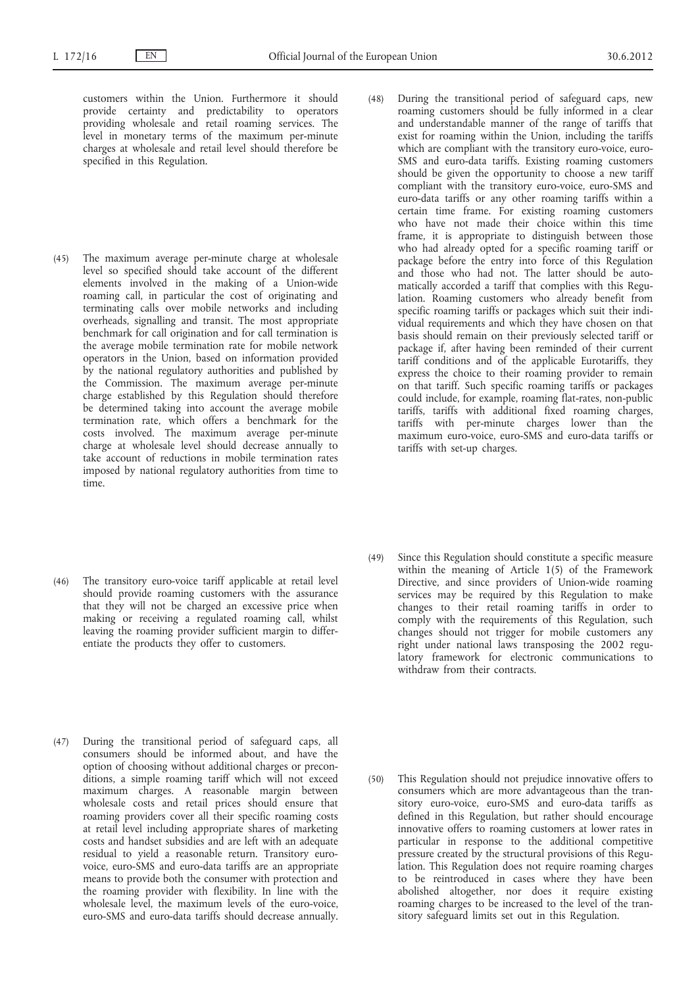- customers within the Union. Furthermore it should provide certainty and predictability to operators providing wholesale and retail roaming services. The level in monetary terms of the maximum per-minute charges at wholesale and retail level should therefore be specified in this Regulation.
- (45) The maximum average per-minute charge at wholesale level so specified should take account of the different elements involved in the making of a Union-wide roaming call, in particular the cost of originating and terminating calls over mobile networks and including overheads, signalling and transit. The most appropriate benchmark for call origination and for call termination is the average mobile termination rate for mobile network operators in the Union, based on information provided by the national regulatory authorities and published by the Commission. The maximum average per-minute charge established by this Regulation should therefore be determined taking into account the average mobile termination rate, which offers a benchmark for the costs involved. The maximum average per-minute charge at wholesale level should decrease annually to take account of reductions in mobile termination rates imposed by national regulatory authorities from time to time.
- (48) During the transitional period of safeguard caps, new roaming customers should be fully informed in a clear and understandable manner of the range of tariffs that exist for roaming within the Union, including the tariffs which are compliant with the transitory euro-voice, euro-SMS and euro-data tariffs. Existing roaming customers should be given the opportunity to choose a new tariff compliant with the transitory euro-voice, euro-SMS and euro-data tariffs or any other roaming tariffs within a certain time frame. For existing roaming customers who have not made their choice within this time frame, it is appropriate to distinguish between those who had already opted for a specific roaming tariff or package before the entry into force of this Regulation and those who had not. The latter should be automatically accorded a tariff that complies with this Regulation. Roaming customers who already benefit from specific roaming tariffs or packages which suit their individual requirements and which they have chosen on that basis should remain on their previously selected tariff or package if, after having been reminded of their current tariff conditions and of the applicable Eurotariffs, they express the choice to their roaming provider to remain on that tariff. Such specific roaming tariffs or packages could include, for example, roaming flat-rates, non-public tariffs, tariffs with additional fixed roaming charges, tariffs with per-minute charges lower than the maximum euro-voice, euro-SMS and euro-data tariffs or tariffs with set-up charges.

- (46) The transitory euro-voice tariff applicable at retail level should provide roaming customers with the assurance that they will not be charged an excessive price when making or receiving a regulated roaming call, whilst leaving the roaming provider sufficient margin to differentiate the products they offer to customers.
- (49) Since this Regulation should constitute a specific measure within the meaning of Article  $1(5)$  of the Framework Directive, and since providers of Union-wide roaming services may be required by this Regulation to make changes to their retail roaming tariffs in order to comply with the requirements of this Regulation, such changes should not trigger for mobile customers any right under national laws transposing the 2002 regulatory framework for electronic communications to withdraw from their contracts.
- (47) During the transitional period of safeguard caps, all consumers should be informed about, and have the option of choosing without additional charges or preconditions, a simple roaming tariff which will not exceed maximum charges. A reasonable margin between wholesale costs and retail prices should ensure that roaming providers cover all their specific roaming costs at retail level including appropriate shares of marketing costs and handset subsidies and are left with an adequate residual to yield a reasonable return. Transitory eurovoice, euro-SMS and euro-data tariffs are an appropriate means to provide both the consumer with protection and the roaming provider with flexibility. In line with the wholesale level, the maximum levels of the euro-voice, euro-SMS and euro-data tariffs should decrease annually.
- (50) This Regulation should not prejudice innovative offers to consumers which are more advantageous than the transitory euro-voice, euro-SMS and euro-data tariffs as defined in this Regulation, but rather should encourage innovative offers to roaming customers at lower rates in particular in response to the additional competitive pressure created by the structural provisions of this Regulation. This Regulation does not require roaming charges to be reintroduced in cases where they have been abolished altogether, nor does it require existing roaming charges to be increased to the level of the transitory safeguard limits set out in this Regulation.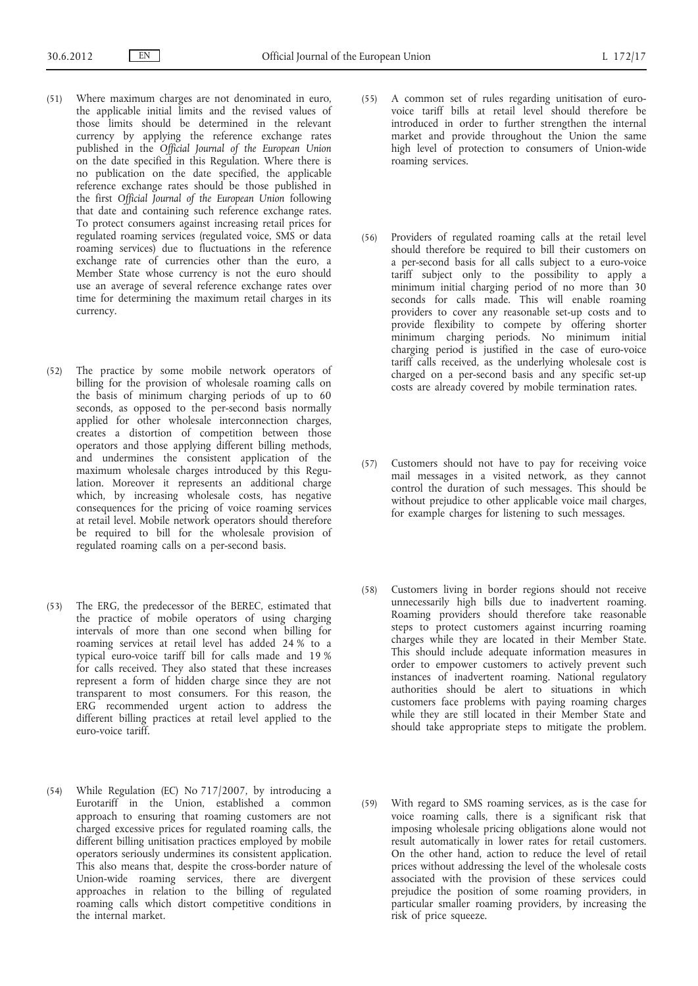- (51) Where maximum charges are not denominated in euro, the applicable initial limits and the revised values of those limits should be determined in the relevant currency by applying the reference exchange rates published in the *Official Journal of the European Union* on the date specified in this Regulation. Where there is no publication on the date specified, the applicable reference exchange rates should be those published in the first *Official Journal of the European Union* following that date and containing such reference exchange rates. To protect consumers against increasing retail prices for regulated roaming services (regulated voice, SMS or data roaming services) due to fluctuations in the reference exchange rate of currencies other than the euro, a Member State whose currency is not the euro should use an average of several reference exchange rates over time for determining the maximum retail charges in its currency.
- (52) The practice by some mobile network operators of billing for the provision of wholesale roaming calls on the basis of minimum charging periods of up to 60 seconds, as opposed to the per-second basis normally applied for other wholesale interconnection charges, creates a distortion of competition between those operators and those applying different billing methods, and undermines the consistent application of the maximum wholesale charges introduced by this Regulation. Moreover it represents an additional charge which, by increasing wholesale costs, has negative consequences for the pricing of voice roaming services at retail level. Mobile network operators should therefore be required to bill for the wholesale provision of regulated roaming calls on a per-second basis.
- (53) The ERG, the predecessor of the BEREC, estimated that the practice of mobile operators of using charging intervals of more than one second when billing for roaming services at retail level has added 24 % to a typical euro-voice tariff bill for calls made and 19 % for calls received. They also stated that these increases represent a form of hidden charge since they are not transparent to most consumers. For this reason, the ERG recommended urgent action to address the different billing practices at retail level applied to the euro-voice tariff.
- (54) While Regulation (EC) No 717/2007, by introducing a Eurotariff in the Union, established a common approach to ensuring that roaming customers are not charged excessive prices for regulated roaming calls, the different billing unitisation practices employed by mobile operators seriously undermines its consistent application. This also means that, despite the cross-border nature of Union-wide roaming services, there are divergent approaches in relation to the billing of regulated roaming calls which distort competitive conditions in the internal market.
- (55) A common set of rules regarding unitisation of eurovoice tariff bills at retail level should therefore be introduced in order to further strengthen the internal market and provide throughout the Union the same high level of protection to consumers of Union-wide roaming services.
- (56) Providers of regulated roaming calls at the retail level should therefore be required to bill their customers on a per-second basis for all calls subject to a euro-voice tariff subject only to the possibility to apply a minimum initial charging period of no more than 30 seconds for calls made. This will enable roaming providers to cover any reasonable set-up costs and to provide flexibility to compete by offering shorter minimum charging periods. No minimum initial charging period is justified in the case of euro-voice tariff calls received, as the underlying wholesale cost is charged on a per-second basis and any specific set-up costs are already covered by mobile termination rates.
- (57) Customers should not have to pay for receiving voice mail messages in a visited network, as they cannot control the duration of such messages. This should be without prejudice to other applicable voice mail charges, for example charges for listening to such messages.
- (58) Customers living in border regions should not receive unnecessarily high bills due to inadvertent roaming. Roaming providers should therefore take reasonable steps to protect customers against incurring roaming charges while they are located in their Member State. This should include adequate information measures in order to empower customers to actively prevent such instances of inadvertent roaming. National regulatory authorities should be alert to situations in which customers face problems with paying roaming charges while they are still located in their Member State and should take appropriate steps to mitigate the problem.
- (59) With regard to SMS roaming services, as is the case for voice roaming calls, there is a significant risk that imposing wholesale pricing obligations alone would not result automatically in lower rates for retail customers. On the other hand, action to reduce the level of retail prices without addressing the level of the wholesale costs associated with the provision of these services could prejudice the position of some roaming providers, in particular smaller roaming providers, by increasing the risk of price squeeze.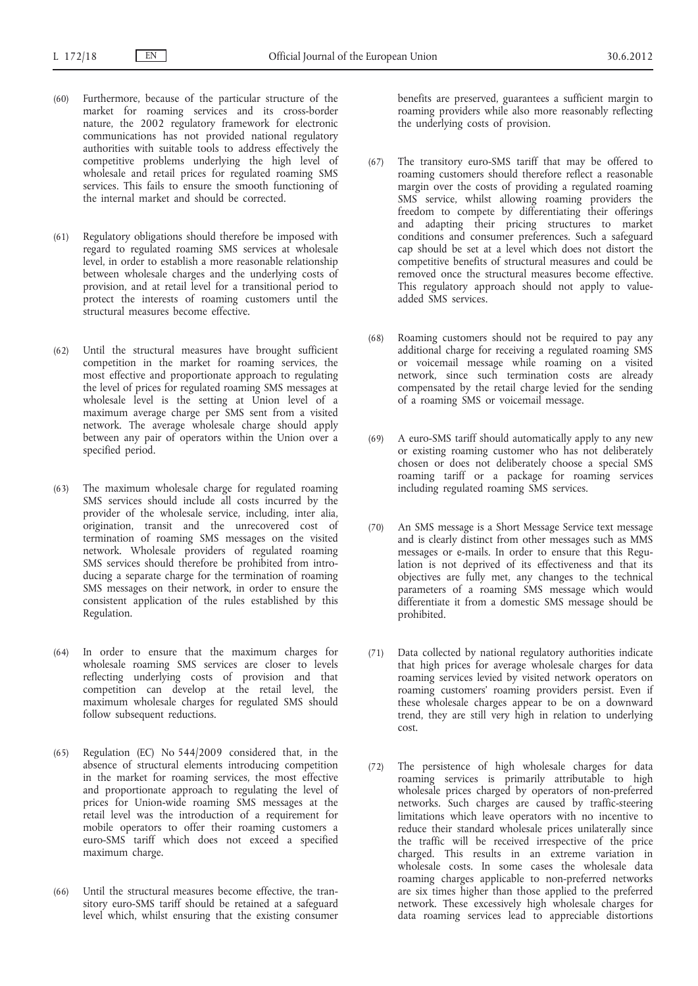- (60) Furthermore, because of the particular structure of the market for roaming services and its cross-border nature, the 2002 regulatory framework for electronic communications has not provided national regulatory authorities with suitable tools to address effectively the competitive problems underlying the high level of wholesale and retail prices for regulated roaming SMS services. This fails to ensure the smooth functioning of the internal market and should be corrected.
- (61) Regulatory obligations should therefore be imposed with regard to regulated roaming SMS services at wholesale level, in order to establish a more reasonable relationship between wholesale charges and the underlying costs of provision, and at retail level for a transitional period to protect the interests of roaming customers until the structural measures become effective.
- (62) Until the structural measures have brought sufficient competition in the market for roaming services, the most effective and proportionate approach to regulating the level of prices for regulated roaming SMS messages at wholesale level is the setting at Union level of a maximum average charge per SMS sent from a visited network. The average wholesale charge should apply between any pair of operators within the Union over a specified period.
- (63) The maximum wholesale charge for regulated roaming SMS services should include all costs incurred by the provider of the wholesale service, including, inter alia, origination, transit and the unrecovered cost of termination of roaming SMS messages on the visited network. Wholesale providers of regulated roaming SMS services should therefore be prohibited from introducing a separate charge for the termination of roaming SMS messages on their network, in order to ensure the consistent application of the rules established by this Regulation.
- (64) In order to ensure that the maximum charges for wholesale roaming SMS services are closer to levels reflecting underlying costs of provision and that competition can develop at the retail level, the maximum wholesale charges for regulated SMS should follow subsequent reductions.
- (65) Regulation (EC) No 544/2009 considered that, in the absence of structural elements introducing competition in the market for roaming services, the most effective and proportionate approach to regulating the level of prices for Union-wide roaming SMS messages at the retail level was the introduction of a requirement for mobile operators to offer their roaming customers a euro-SMS tariff which does not exceed a specified maximum charge.
- (66) Until the structural measures become effective, the transitory euro-SMS tariff should be retained at a safeguard level which, whilst ensuring that the existing consumer

benefits are preserved, guarantees a sufficient margin to roaming providers while also more reasonably reflecting the underlying costs of provision.

- (67) The transitory euro-SMS tariff that may be offered to roaming customers should therefore reflect a reasonable margin over the costs of providing a regulated roaming SMS service, whilst allowing roaming providers the freedom to compete by differentiating their offerings and adapting their pricing structures to market conditions and consumer preferences. Such a safeguard cap should be set at a level which does not distort the competitive benefits of structural measures and could be removed once the structural measures become effective. This regulatory approach should not apply to valueadded SMS services.
- (68) Roaming customers should not be required to pay any additional charge for receiving a regulated roaming SMS or voicemail message while roaming on a visited network, since such termination costs are already compensated by the retail charge levied for the sending of a roaming SMS or voicemail message.
- (69) A euro-SMS tariff should automatically apply to any new or existing roaming customer who has not deliberately chosen or does not deliberately choose a special SMS roaming tariff or a package for roaming services including regulated roaming SMS services.
- (70) An SMS message is a Short Message Service text message and is clearly distinct from other messages such as MMS messages or e-mails. In order to ensure that this Regulation is not deprived of its effectiveness and that its objectives are fully met, any changes to the technical parameters of a roaming SMS message which would differentiate it from a domestic SMS message should be prohibited.
- (71) Data collected by national regulatory authorities indicate that high prices for average wholesale charges for data roaming services levied by visited network operators on roaming customers' roaming providers persist. Even if these wholesale charges appear to be on a downward trend, they are still very high in relation to underlying cost.
- (72) The persistence of high wholesale charges for data roaming services is primarily attributable to high wholesale prices charged by operators of non-preferred networks. Such charges are caused by traffic-steering limitations which leave operators with no incentive to reduce their standard wholesale prices unilaterally since the traffic will be received irrespective of the price charged. This results in an extreme variation in wholesale costs. In some cases the wholesale data roaming charges applicable to non-preferred networks are six times higher than those applied to the preferred network. These excessively high wholesale charges for data roaming services lead to appreciable distortions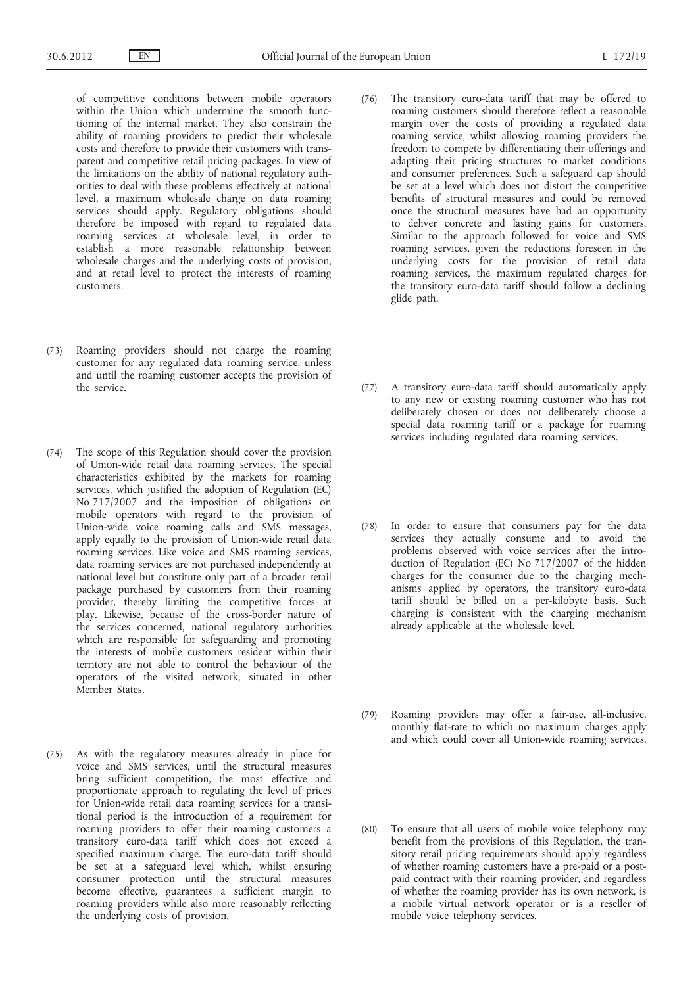of competitive conditions between mobile operators within the Union which undermine the smooth functioning of the internal market. They also constrain the ability of roaming providers to predict their wholesale costs and therefore to provide their customers with transparent and competitive retail pricing packages. In view of the limitations on the ability of national regulatory authorities to deal with these problems effectively at national level, a maximum wholesale charge on data roaming services should apply. Regulatory obligations should therefore be imposed with regard to regulated data roaming services at wholesale level, in order to establish a more reasonable relationship between wholesale charges and the underlying costs of provision, and at retail level to protect the interests of roaming customers.

- (73) Roaming providers should not charge the roaming customer for any regulated data roaming service, unless and until the roaming customer accepts the provision of the service.
- (74) The scope of this Regulation should cover the provision of Union-wide retail data roaming services. The special characteristics exhibited by the markets for roaming services, which justified the adoption of Regulation (EC) No 717/2007 and the imposition of obligations on mobile operators with regard to the provision of Union-wide voice roaming calls and SMS messages, apply equally to the provision of Union-wide retail data roaming services. Like voice and SMS roaming services, data roaming services are not purchased independently at national level but constitute only part of a broader retail package purchased by customers from their roaming provider, thereby limiting the competitive forces at play. Likewise, because of the cross-border nature of the services concerned, national regulatory authorities which are responsible for safeguarding and promoting the interests of mobile customers resident within their territory are not able to control the behaviour of the operators of the visited network, situated in other Member States.
- (75) As with the regulatory measures already in place for voice and SMS services, until the structural measures bring sufficient competition, the most effective and proportionate approach to regulating the level of prices for Union-wide retail data roaming services for a transitional period is the introduction of a requirement for roaming providers to offer their roaming customers a transitory euro-data tariff which does not exceed a specified maximum charge. The euro-data tariff should be set at a safeguard level which, whilst ensuring consumer protection until the structural measures become effective, guarantees a sufficient margin to roaming providers while also more reasonably reflecting the underlying costs of provision.
- (76) The transitory euro-data tariff that may be offered to roaming customers should therefore reflect a reasonable margin over the costs of providing a regulated data roaming service, whilst allowing roaming providers the freedom to compete by differentiating their offerings and adapting their pricing structures to market conditions and consumer preferences. Such a safeguard cap should be set at a level which does not distort the competitive benefits of structural measures and could be removed once the structural measures have had an opportunity to deliver concrete and lasting gains for customers. Similar to the approach followed for voice and SMS roaming services, given the reductions foreseen in the underlying costs for the provision of retail data roaming services, the maximum regulated charges for the transitory euro-data tariff should follow a declining glide path.
- (77) A transitory euro-data tariff should automatically apply to any new or existing roaming customer who has not deliberately chosen or does not deliberately choose a special data roaming tariff or a package for roaming services including regulated data roaming services.
- (78) In order to ensure that consumers pay for the data services they actually consume and to avoid the problems observed with voice services after the introduction of Regulation (EC) No 717/2007 of the hidden charges for the consumer due to the charging mechanisms applied by operators, the transitory euro-data tariff should be billed on a per-kilobyte basis. Such charging is consistent with the charging mechanism already applicable at the wholesale level.
- (79) Roaming providers may offer a fair-use, all-inclusive, monthly flat-rate to which no maximum charges apply and which could cover all Union-wide roaming services.
- (80) To ensure that all users of mobile voice telephony may benefit from the provisions of this Regulation, the transitory retail pricing requirements should apply regardless of whether roaming customers have a pre-paid or a postpaid contract with their roaming provider, and regardless of whether the roaming provider has its own network, is a mobile virtual network operator or is a reseller of mobile voice telephony services.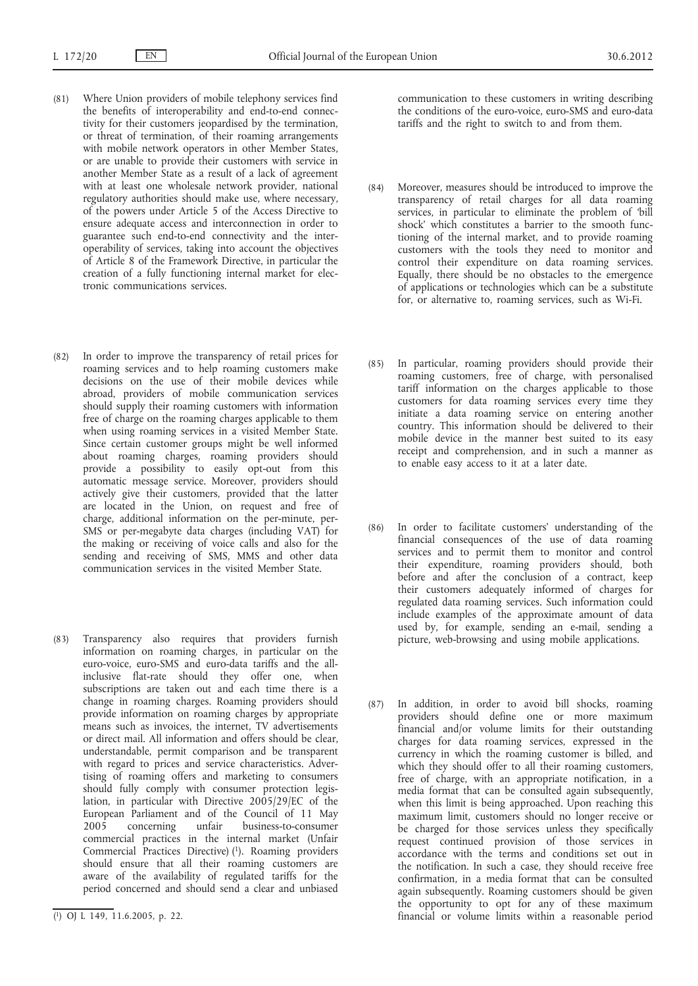- (81) Where Union providers of mobile telephony services find the benefits of interoperability and end-to-end connectivity for their customers jeopardised by the termination, or threat of termination, of their roaming arrangements with mobile network operators in other Member States, or are unable to provide their customers with service in another Member State as a result of a lack of agreement with at least one wholesale network provider, national regulatory authorities should make use, where necessary, of the powers under Article 5 of the Access Directive to ensure adequate access and interconnection in order to guarantee such end-to-end connectivity and the interoperability of services, taking into account the objectives of Article 8 of the Framework Directive, in particular the creation of a fully functioning internal market for electronic communications services.
- (82) In order to improve the transparency of retail prices for roaming services and to help roaming customers make decisions on the use of their mobile devices while abroad, providers of mobile communication services should supply their roaming customers with information free of charge on the roaming charges applicable to them when using roaming services in a visited Member State. Since certain customer groups might be well informed about roaming charges, roaming providers should provide a possibility to easily opt-out from this automatic message service. Moreover, providers should actively give their customers, provided that the latter are located in the Union, on request and free of charge, additional information on the per-minute, per-SMS or per-megabyte data charges (including VAT) for the making or receiving of voice calls and also for the sending and receiving of SMS, MMS and other data communication services in the visited Member State.
- (83) Transparency also requires that providers furnish information on roaming charges, in particular on the euro-voice, euro-SMS and euro-data tariffs and the allinclusive flat-rate should they offer one, when subscriptions are taken out and each time there is a change in roaming charges. Roaming providers should provide information on roaming charges by appropriate means such as invoices, the internet, TV advertisements or direct mail. All information and offers should be clear, understandable, permit comparison and be transparent with regard to prices and service characteristics. Advertising of roaming offers and marketing to consumers should fully comply with consumer protection legislation, in particular with Directive 2005/29/EC of the European Parliament and of the Council of 11 May<br>2005 concerning unfair business-to-consumer 2005 concerning unfair business-to-consumer commercial practices in the internal market (Unfair Commercial Practices Directive) (1). Roaming providers should ensure that all their roaming customers are aware of the availability of regulated tariffs for the period concerned and should send a clear and unbiased

communication to these customers in writing describing the conditions of the euro-voice, euro-SMS and euro-data tariffs and the right to switch to and from them.

- (84) Moreover, measures should be introduced to improve the transparency of retail charges for all data roaming services, in particular to eliminate the problem of 'bill shock' which constitutes a barrier to the smooth functioning of the internal market, and to provide roaming customers with the tools they need to monitor and control their expenditure on data roaming services. Equally, there should be no obstacles to the emergence of applications or technologies which can be a substitute for, or alternative to, roaming services, such as Wi-Fi.
- (85) In particular, roaming providers should provide their roaming customers, free of charge, with personalised tariff information on the charges applicable to those customers for data roaming services every time they initiate a data roaming service on entering another country. This information should be delivered to their mobile device in the manner best suited to its easy receipt and comprehension, and in such a manner as to enable easy access to it at a later date.
- (86) In order to facilitate customers' understanding of the financial consequences of the use of data roaming services and to permit them to monitor and control their expenditure, roaming providers should, both before and after the conclusion of a contract, keep their customers adequately informed of charges for regulated data roaming services. Such information could include examples of the approximate amount of data used by, for example, sending an e-mail, sending a picture, web-browsing and using mobile applications.
- (87) In addition, in order to avoid bill shocks, roaming providers should define one or more maximum financial and/or volume limits for their outstanding charges for data roaming services, expressed in the currency in which the roaming customer is billed, and which they should offer to all their roaming customers, free of charge, with an appropriate notification, in a media format that can be consulted again subsequently, when this limit is being approached. Upon reaching this maximum limit, customers should no longer receive or be charged for those services unless they specifically request continued provision of those services in accordance with the terms and conditions set out in the notification. In such a case, they should receive free confirmation, in a media format that can be consulted again subsequently. Roaming customers should be given the opportunity to opt for any of these maximum financial or volume limits within a reasonable period

<sup>(</sup> 1) OJ L 149, 11.6.2005, p. 22.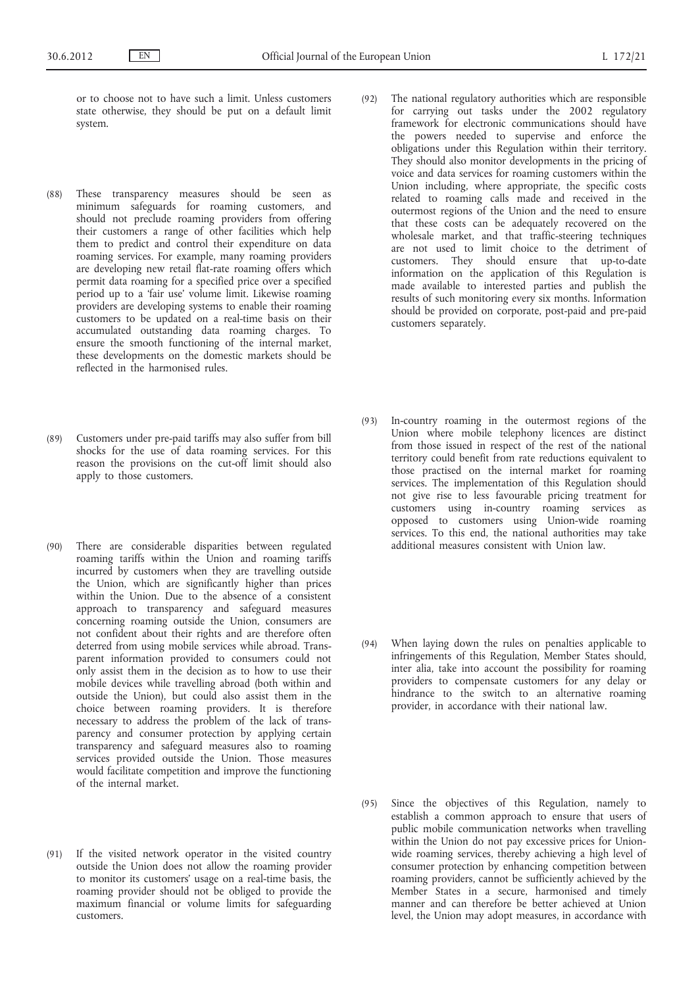or to choose not to have such a limit. Unless customers state otherwise, they should be put on a default limit system.

- (88) These transparency measures should be seen as minimum safeguards for roaming customers, and should not preclude roaming providers from offering their customers a range of other facilities which help them to predict and control their expenditure on data roaming services. For example, many roaming providers are developing new retail flat-rate roaming offers which permit data roaming for a specified price over a specified period up to a 'fair use' volume limit. Likewise roaming providers are developing systems to enable their roaming customers to be updated on a real-time basis on their accumulated outstanding data roaming charges. To ensure the smooth functioning of the internal market, these developments on the domestic markets should be reflected in the harmonised rules.
- (89) Customers under pre-paid tariffs may also suffer from bill shocks for the use of data roaming services. For this reason the provisions on the cut-off limit should also apply to those customers.
- (90) There are considerable disparities between regulated roaming tariffs within the Union and roaming tariffs incurred by customers when they are travelling outside the Union, which are significantly higher than prices within the Union. Due to the absence of a consistent approach to transparency and safeguard measures concerning roaming outside the Union, consumers are not confident about their rights and are therefore often deterred from using mobile services while abroad. Transparent information provided to consumers could not only assist them in the decision as to how to use their mobile devices while travelling abroad (both within and outside the Union), but could also assist them in the choice between roaming providers. It is therefore necessary to address the problem of the lack of transparency and consumer protection by applying certain transparency and safeguard measures also to roaming services provided outside the Union. Those measures would facilitate competition and improve the functioning of the internal market.
- (91) If the visited network operator in the visited country outside the Union does not allow the roaming provider to monitor its customers' usage on a real-time basis, the roaming provider should not be obliged to provide the maximum financial or volume limits for safeguarding customers.
- (92) The national regulatory authorities which are responsible for carrying out tasks under the 2002 regulatory framework for electronic communications should have the powers needed to supervise and enforce the obligations under this Regulation within their territory. They should also monitor developments in the pricing of voice and data services for roaming customers within the Union including, where appropriate, the specific costs related to roaming calls made and received in the outermost regions of the Union and the need to ensure that these costs can be adequately recovered on the wholesale market, and that traffic-steering techniques are not used to limit choice to the detriment of customers. They should ensure that up-to-date information on the application of this Regulation is made available to interested parties and publish the results of such monitoring every six months. Information should be provided on corporate, post-paid and pre-paid customers separately.
- (93) In-country roaming in the outermost regions of the Union where mobile telephony licences are distinct from those issued in respect of the rest of the national territory could benefit from rate reductions equivalent to those practised on the internal market for roaming services. The implementation of this Regulation should not give rise to less favourable pricing treatment for customers using in-country roaming services as opposed to customers using Union-wide roaming services. To this end, the national authorities may take additional measures consistent with Union law.
- (94) When laying down the rules on penalties applicable to infringements of this Regulation, Member States should, inter alia, take into account the possibility for roaming providers to compensate customers for any delay or hindrance to the switch to an alternative roaming provider, in accordance with their national law.
- (95) Since the objectives of this Regulation, namely to establish a common approach to ensure that users of public mobile communication networks when travelling within the Union do not pay excessive prices for Unionwide roaming services, thereby achieving a high level of consumer protection by enhancing competition between roaming providers, cannot be sufficiently achieved by the Member States in a secure, harmonised and timely manner and can therefore be better achieved at Union level, the Union may adopt measures, in accordance with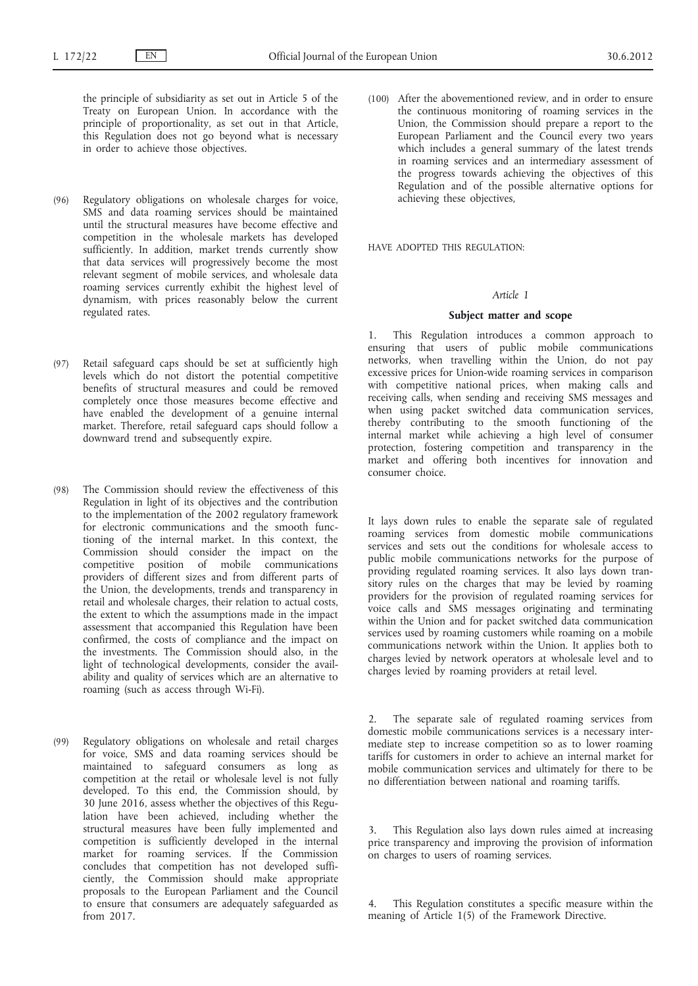the principle of subsidiarity as set out in Article 5 of the Treaty on European Union. In accordance with the principle of proportionality, as set out in that Article, this Regulation does not go beyond what is necessary in order to achieve those objectives.

- (96) Regulatory obligations on wholesale charges for voice, SMS and data roaming services should be maintained until the structural measures have become effective and competition in the wholesale markets has developed sufficiently. In addition, market trends currently show that data services will progressively become the most relevant segment of mobile services, and wholesale data roaming services currently exhibit the highest level of dynamism, with prices reasonably below the current regulated rates.
- (97) Retail safeguard caps should be set at sufficiently high levels which do not distort the potential competitive benefits of structural measures and could be removed completely once those measures become effective and have enabled the development of a genuine internal market. Therefore, retail safeguard caps should follow a downward trend and subsequently expire.
- (98) The Commission should review the effectiveness of this Regulation in light of its objectives and the contribution to the implementation of the 2002 regulatory framework for electronic communications and the smooth functioning of the internal market. In this context, the Commission should consider the impact on the competitive position of mobile communications providers of different sizes and from different parts of the Union, the developments, trends and transparency in retail and wholesale charges, their relation to actual costs, the extent to which the assumptions made in the impact assessment that accompanied this Regulation have been confirmed, the costs of compliance and the impact on the investments. The Commission should also, in the light of technological developments, consider the availability and quality of services which are an alternative to roaming (such as access through Wi-Fi).
- (99) Regulatory obligations on wholesale and retail charges for voice, SMS and data roaming services should be maintained to safeguard consumers as long as competition at the retail or wholesale level is not fully developed. To this end, the Commission should, by 30 June 2016, assess whether the objectives of this Regulation have been achieved, including whether the structural measures have been fully implemented and competition is sufficiently developed in the internal market for roaming services. If the Commission concludes that competition has not developed sufficiently, the Commission should make appropriate proposals to the European Parliament and the Council to ensure that consumers are adequately safeguarded as from 2017.

(100) After the abovementioned review, and in order to ensure the continuous monitoring of roaming services in the Union, the Commission should prepare a report to the European Parliament and the Council every two years which includes a general summary of the latest trends in roaming services and an intermediary assessment of the progress towards achieving the objectives of this Regulation and of the possible alternative options for achieving these objectives,

HAVE ADOPTED THIS REGULATION:

## *Article 1*

#### **Subject matter and scope**

1. This Regulation introduces a common approach to ensuring that users of public mobile communications networks, when travelling within the Union, do not pay excessive prices for Union-wide roaming services in comparison with competitive national prices, when making calls and receiving calls, when sending and receiving SMS messages and when using packet switched data communication services, thereby contributing to the smooth functioning of the internal market while achieving a high level of consumer protection, fostering competition and transparency in the market and offering both incentives for innovation and consumer choice.

It lays down rules to enable the separate sale of regulated roaming services from domestic mobile communications services and sets out the conditions for wholesale access to public mobile communications networks for the purpose of providing regulated roaming services. It also lays down transitory rules on the charges that may be levied by roaming providers for the provision of regulated roaming services for voice calls and SMS messages originating and terminating within the Union and for packet switched data communication services used by roaming customers while roaming on a mobile communications network within the Union. It applies both to charges levied by network operators at wholesale level and to charges levied by roaming providers at retail level.

2. The separate sale of regulated roaming services from domestic mobile communications services is a necessary intermediate step to increase competition so as to lower roaming tariffs for customers in order to achieve an internal market for mobile communication services and ultimately for there to be no differentiation between national and roaming tariffs.

3. This Regulation also lays down rules aimed at increasing price transparency and improving the provision of information on charges to users of roaming services.

This Regulation constitutes a specific measure within the meaning of Article 1(5) of the Framework Directive.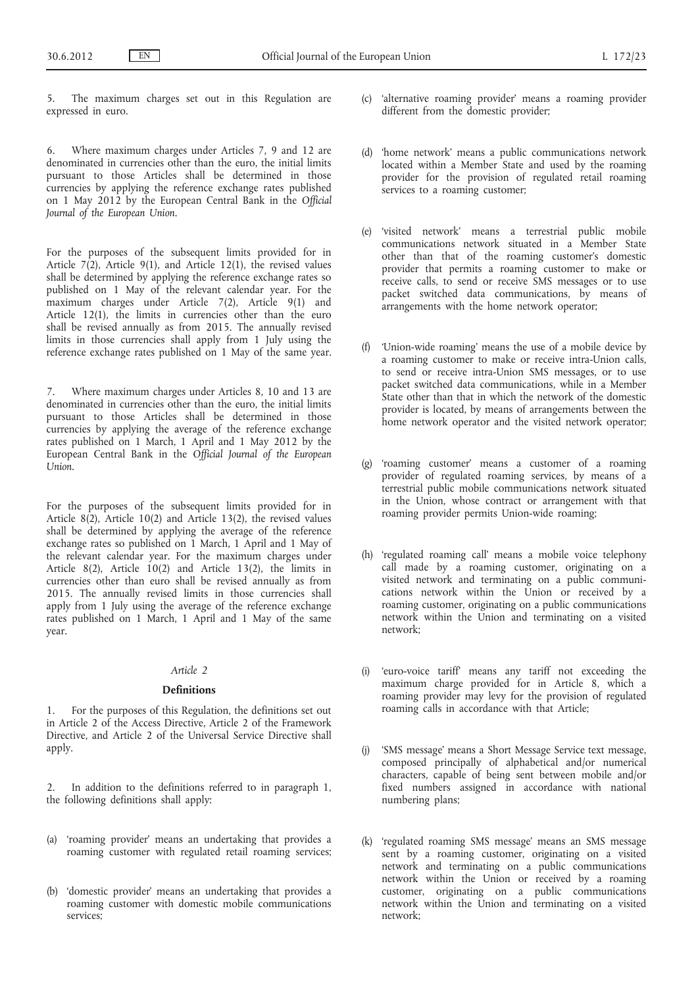The maximum charges set out in this Regulation are expressed in euro.

6. Where maximum charges under Articles 7, 9 and 12 are denominated in currencies other than the euro, the initial limits pursuant to those Articles shall be determined in those currencies by applying the reference exchange rates published on 1 May 2012 by the European Central Bank in the *Official Journal of the European Union*.

For the purposes of the subsequent limits provided for in Article  $7(2)$ , Article 9(1), and Article 12(1), the revised values shall be determined by applying the reference exchange rates so published on 1 May of the relevant calendar year. For the maximum charges under Article 7(2), Article 9(1) and Article 12(1), the limits in currencies other than the euro shall be revised annually as from 2015. The annually revised limits in those currencies shall apply from 1 July using the reference exchange rates published on 1 May of the same year.

7. Where maximum charges under Articles 8, 10 and 13 are denominated in currencies other than the euro, the initial limits pursuant to those Articles shall be determined in those currencies by applying the average of the reference exchange rates published on 1 March, 1 April and 1 May 2012 by the European Central Bank in the *Official Journal of the European Union*.

For the purposes of the subsequent limits provided for in Article 8(2), Article 10(2) and Article 13(2), the revised values shall be determined by applying the average of the reference exchange rates so published on 1 March, 1 April and 1 May of the relevant calendar year. For the maximum charges under Article 8(2), Article 10(2) and Article 13(2), the limits in currencies other than euro shall be revised annually as from 2015. The annually revised limits in those currencies shall apply from 1 July using the average of the reference exchange rates published on 1 March, 1 April and 1 May of the same year.

#### *Article 2*

#### **Definitions**

1. For the purposes of this Regulation, the definitions set out in Article 2 of the Access Directive, Article 2 of the Framework Directive, and Article 2 of the Universal Service Directive shall apply.

- In addition to the definitions referred to in paragraph 1, the following definitions shall apply:
- (a) 'roaming provider' means an undertaking that provides a roaming customer with regulated retail roaming services;
- (b) 'domestic provider' means an undertaking that provides a roaming customer with domestic mobile communications services;
- (c) 'alternative roaming provider' means a roaming provider different from the domestic provider;
- (d) 'home network' means a public communications network located within a Member State and used by the roaming provider for the provision of regulated retail roaming services to a roaming customer;
- (e) 'visited network' means a terrestrial public mobile communications network situated in a Member State other than that of the roaming customer's domestic provider that permits a roaming customer to make or receive calls, to send or receive SMS messages or to use packet switched data communications, by means of arrangements with the home network operator;
- (f) 'Union-wide roaming' means the use of a mobile device by a roaming customer to make or receive intra-Union calls, to send or receive intra-Union SMS messages, or to use packet switched data communications, while in a Member State other than that in which the network of the domestic provider is located, by means of arrangements between the home network operator and the visited network operator;
- (g) 'roaming customer' means a customer of a roaming provider of regulated roaming services, by means of a terrestrial public mobile communications network situated in the Union, whose contract or arrangement with that roaming provider permits Union-wide roaming;
- (h) 'regulated roaming call' means a mobile voice telephony call made by a roaming customer, originating on a visited network and terminating on a public communications network within the Union or received by a roaming customer, originating on a public communications network within the Union and terminating on a visited network;
- (i) 'euro-voice tariff' means any tariff not exceeding the maximum charge provided for in Article 8, which a roaming provider may levy for the provision of regulated roaming calls in accordance with that Article;
- (j) 'SMS message' means a Short Message Service text message, composed principally of alphabetical and/or numerical characters, capable of being sent between mobile and/or fixed numbers assigned in accordance with national numbering plans;
- (k) 'regulated roaming SMS message' means an SMS message sent by a roaming customer, originating on a visited network and terminating on a public communications network within the Union or received by a roaming customer, originating on a public communications network within the Union and terminating on a visited network;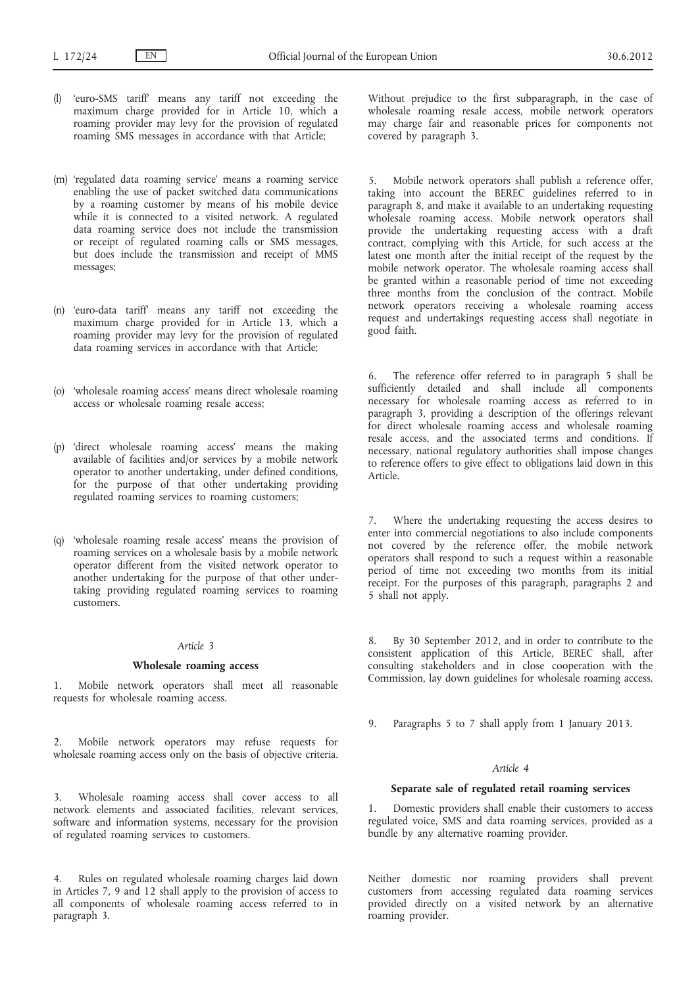- (l) 'euro-SMS tariff' means any tariff not exceeding the maximum charge provided for in Article 10, which a roaming provider may levy for the provision of regulated roaming SMS messages in accordance with that Article;
- (m) 'regulated data roaming service' means a roaming service enabling the use of packet switched data communications by a roaming customer by means of his mobile device while it is connected to a visited network. A regulated data roaming service does not include the transmission or receipt of regulated roaming calls or SMS messages, but does include the transmission and receipt of MMS messages;
- (n) 'euro-data tariff' means any tariff not exceeding the maximum charge provided for in Article 13, which a roaming provider may levy for the provision of regulated data roaming services in accordance with that Article;
- (o) 'wholesale roaming access' means direct wholesale roaming access or wholesale roaming resale access;
- (p) 'direct wholesale roaming access' means the making available of facilities and/or services by a mobile network operator to another undertaking, under defined conditions, for the purpose of that other undertaking providing regulated roaming services to roaming customers;
- (q) 'wholesale roaming resale access' means the provision of roaming services on a wholesale basis by a mobile network operator different from the visited network operator to another undertaking for the purpose of that other undertaking providing regulated roaming services to roaming customers.

## *Article 3*

#### **Wholesale roaming access**

1. Mobile network operators shall meet all reasonable requests for wholesale roaming access.

2. Mobile network operators may refuse requests for wholesale roaming access only on the basis of objective criteria.

3. Wholesale roaming access shall cover access to all network elements and associated facilities, relevant services, software and information systems, necessary for the provision of regulated roaming services to customers.

Rules on regulated wholesale roaming charges laid down in Articles 7, 9 and 12 shall apply to the provision of access to all components of wholesale roaming access referred to in paragraph 3.

Without prejudice to the first subparagraph, in the case of wholesale roaming resale access, mobile network operators may charge fair and reasonable prices for components not covered by paragraph 3.

Mobile network operators shall publish a reference offer, taking into account the BEREC guidelines referred to in paragraph 8, and make it available to an undertaking requesting wholesale roaming access. Mobile network operators shall provide the undertaking requesting access with a draft contract, complying with this Article, for such access at the latest one month after the initial receipt of the request by the mobile network operator. The wholesale roaming access shall be granted within a reasonable period of time not exceeding three months from the conclusion of the contract. Mobile network operators receiving a wholesale roaming access request and undertakings requesting access shall negotiate in good faith.

6. The reference offer referred to in paragraph 5 shall be sufficiently detailed and shall include all components necessary for wholesale roaming access as referred to in paragraph 3, providing a description of the offerings relevant for direct wholesale roaming access and wholesale roaming resale access, and the associated terms and conditions. If necessary, national regulatory authorities shall impose changes to reference offers to give effect to obligations laid down in this Article.

7. Where the undertaking requesting the access desires to enter into commercial negotiations to also include components not covered by the reference offer, the mobile network operators shall respond to such a request within a reasonable period of time not exceeding two months from its initial receipt. For the purposes of this paragraph, paragraphs 2 and 5 shall not apply.

By 30 September 2012, and in order to contribute to the consistent application of this Article, BEREC shall, after consulting stakeholders and in close cooperation with the Commission, lay down guidelines for wholesale roaming access.

9. Paragraphs 5 to 7 shall apply from 1 January 2013.

## *Article 4*

## **Separate sale of regulated retail roaming services**

1. Domestic providers shall enable their customers to access regulated voice, SMS and data roaming services, provided as a bundle by any alternative roaming provider.

Neither domestic nor roaming providers shall prevent customers from accessing regulated data roaming services provided directly on a visited network by an alternative roaming provider.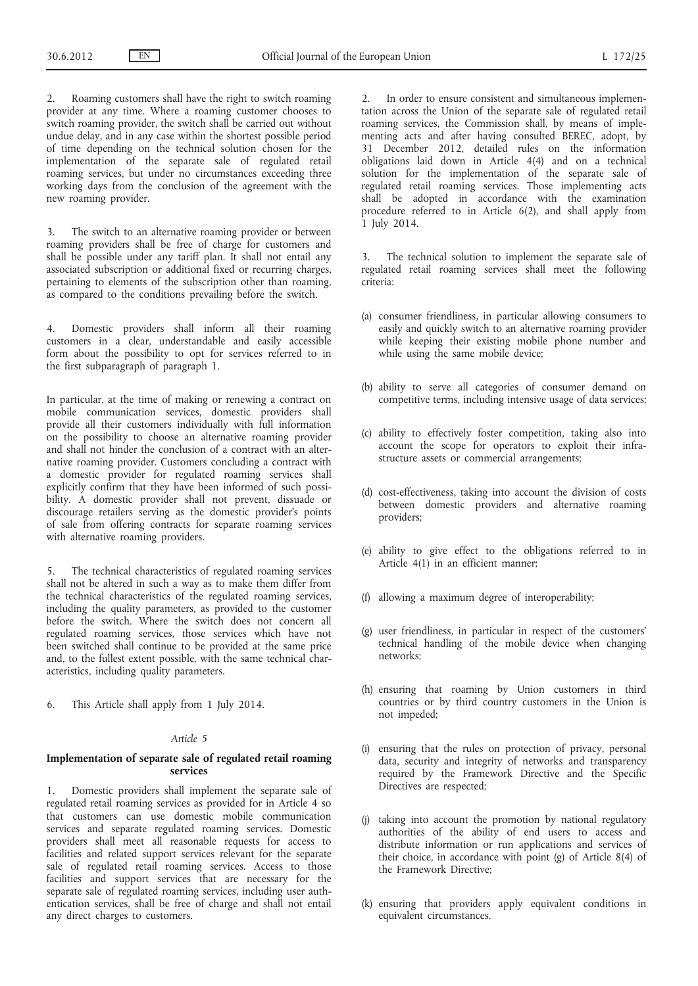2. Roaming customers shall have the right to switch roaming provider at any time. Where a roaming customer chooses to switch roaming provider, the switch shall be carried out without undue delay, and in any case within the shortest possible period of time depending on the technical solution chosen for the implementation of the separate sale of regulated retail roaming services, but under no circumstances exceeding three working days from the conclusion of the agreement with the new roaming provider.

3. The switch to an alternative roaming provider or between roaming providers shall be free of charge for customers and shall be possible under any tariff plan. It shall not entail any associated subscription or additional fixed or recurring charges, pertaining to elements of the subscription other than roaming, as compared to the conditions prevailing before the switch.

4. Domestic providers shall inform all their roaming customers in a clear, understandable and easily accessible form about the possibility to opt for services referred to in the first subparagraph of paragraph 1.

In particular, at the time of making or renewing a contract on mobile communication services, domestic providers shall provide all their customers individually with full information on the possibility to choose an alternative roaming provider and shall not hinder the conclusion of a contract with an alternative roaming provider. Customers concluding a contract with a domestic provider for regulated roaming services shall explicitly confirm that they have been informed of such possibility. A domestic provider shall not prevent, dissuade or discourage retailers serving as the domestic provider's points of sale from offering contracts for separate roaming services with alternative roaming providers.

5. The technical characteristics of regulated roaming services shall not be altered in such a way as to make them differ from the technical characteristics of the regulated roaming services, including the quality parameters, as provided to the customer before the switch. Where the switch does not concern all regulated roaming services, those services which have not been switched shall continue to be provided at the same price and, to the fullest extent possible, with the same technical characteristics, including quality parameters.

6. This Article shall apply from 1 July 2014.

## *Article 5*

## **Implementation of separate sale of regulated retail roaming services**

1. Domestic providers shall implement the separate sale of regulated retail roaming services as provided for in Article 4 so that customers can use domestic mobile communication services and separate regulated roaming services. Domestic providers shall meet all reasonable requests for access to facilities and related support services relevant for the separate sale of regulated retail roaming services. Access to those facilities and support services that are necessary for the separate sale of regulated roaming services, including user authentication services, shall be free of charge and shall not entail any direct charges to customers.

2. In order to ensure consistent and simultaneous implementation across the Union of the separate sale of regulated retail roaming services, the Commission shall, by means of implementing acts and after having consulted BEREC, adopt, by 31 December 2012, detailed rules on the information obligations laid down in Article 4(4) and on a technical solution for the implementation of the separate sale of regulated retail roaming services. Those implementing acts shall be adopted in accordance with the examination procedure referred to in Article 6(2), and shall apply from 1 July 2014.

3. The technical solution to implement the separate sale of regulated retail roaming services shall meet the following criteria:

- (a) consumer friendliness, in particular allowing consumers to easily and quickly switch to an alternative roaming provider while keeping their existing mobile phone number and while using the same mobile device;
- (b) ability to serve all categories of consumer demand on competitive terms, including intensive usage of data services;
- (c) ability to effectively foster competition, taking also into account the scope for operators to exploit their infrastructure assets or commercial arrangements;
- (d) cost-effectiveness, taking into account the division of costs between domestic providers and alternative roaming providers;
- (e) ability to give effect to the obligations referred to in Article 4(1) in an efficient manner;
- (f) allowing a maximum degree of interoperability;
- (g) user friendliness, in particular in respect of the customers' technical handling of the mobile device when changing networks;
- (h) ensuring that roaming by Union customers in third countries or by third country customers in the Union is not impeded;
- (i) ensuring that the rules on protection of privacy, personal data, security and integrity of networks and transparency required by the Framework Directive and the Specific Directives are respected;
- (j) taking into account the promotion by national regulatory authorities of the ability of end users to access and distribute information or run applications and services of their choice, in accordance with point (g) of Article 8(4) of the Framework Directive;
- (k) ensuring that providers apply equivalent conditions in equivalent circumstances.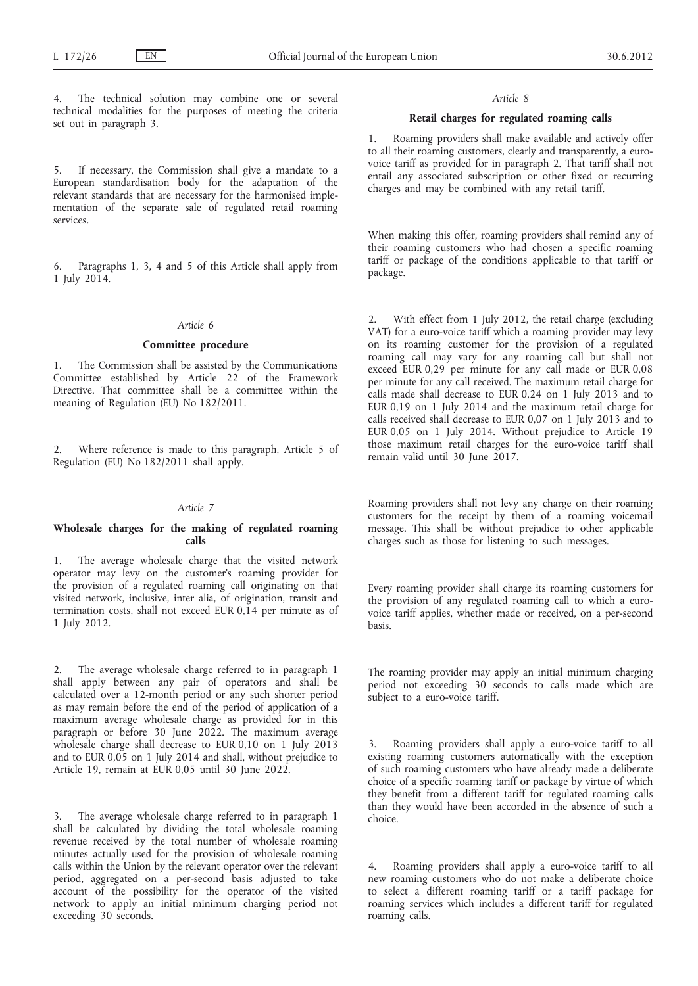The technical solution may combine one or several technical modalities for the purposes of meeting the criteria set out in paragraph 3.

5. If necessary, the Commission shall give a mandate to a European standardisation body for the adaptation of the relevant standards that are necessary for the harmonised implementation of the separate sale of regulated retail roaming services.

6. Paragraphs 1, 3, 4 and 5 of this Article shall apply from 1 July 2014.

## *Article 6*

#### **Committee procedure**

1. The Commission shall be assisted by the Communications Committee established by Article 22 of the Framework Directive. That committee shall be a committee within the meaning of Regulation (EU) No 182/2011.

2. Where reference is made to this paragraph, Article 5 of Regulation (EU) No 182/2011 shall apply.

## *Article 7*

#### **Wholesale charges for the making of regulated roaming calls**

1. The average wholesale charge that the visited network operator may levy on the customer's roaming provider for the provision of a regulated roaming call originating on that visited network, inclusive, inter alia, of origination, transit and termination costs, shall not exceed EUR 0,14 per minute as of 1 July 2012.

The average wholesale charge referred to in paragraph 1 shall apply between any pair of operators and shall be calculated over a 12-month period or any such shorter period as may remain before the end of the period of application of a maximum average wholesale charge as provided for in this paragraph or before 30 June 2022. The maximum average wholesale charge shall decrease to EUR 0,10 on 1 July 2013 and to EUR 0,05 on 1 July 2014 and shall, without prejudice to Article 19, remain at EUR 0,05 until 30 June 2022.

3. The average wholesale charge referred to in paragraph 1 shall be calculated by dividing the total wholesale roaming revenue received by the total number of wholesale roaming minutes actually used for the provision of wholesale roaming calls within the Union by the relevant operator over the relevant period, aggregated on a per-second basis adjusted to take account of the possibility for the operator of the visited network to apply an initial minimum charging period not exceeding 30 seconds.

#### *Article 8*

## **Retail charges for regulated roaming calls**

1. Roaming providers shall make available and actively offer to all their roaming customers, clearly and transparently, a eurovoice tariff as provided for in paragraph 2. That tariff shall not entail any associated subscription or other fixed or recurring charges and may be combined with any retail tariff.

When making this offer, roaming providers shall remind any of their roaming customers who had chosen a specific roaming tariff or package of the conditions applicable to that tariff or package.

With effect from 1 July 2012, the retail charge (excluding VAT) for a euro-voice tariff which a roaming provider may levy on its roaming customer for the provision of a regulated roaming call may vary for any roaming call but shall not exceed EUR 0,29 per minute for any call made or EUR 0,08 per minute for any call received. The maximum retail charge for calls made shall decrease to EUR 0,24 on 1 July 2013 and to EUR 0,19 on 1 July 2014 and the maximum retail charge for calls received shall decrease to EUR 0,07 on 1 July 2013 and to EUR 0,05 on 1 July 2014. Without prejudice to Article 19 those maximum retail charges for the euro-voice tariff shall remain valid until 30 June 2017.

Roaming providers shall not levy any charge on their roaming customers for the receipt by them of a roaming voicemail message. This shall be without prejudice to other applicable charges such as those for listening to such messages.

Every roaming provider shall charge its roaming customers for the provision of any regulated roaming call to which a eurovoice tariff applies, whether made or received, on a per-second basis.

The roaming provider may apply an initial minimum charging period not exceeding 30 seconds to calls made which are subject to a euro-voice tariff.

3. Roaming providers shall apply a euro-voice tariff to all existing roaming customers automatically with the exception of such roaming customers who have already made a deliberate choice of a specific roaming tariff or package by virtue of which they benefit from a different tariff for regulated roaming calls than they would have been accorded in the absence of such a choice.

4. Roaming providers shall apply a euro-voice tariff to all new roaming customers who do not make a deliberate choice to select a different roaming tariff or a tariff package for roaming services which includes a different tariff for regulated roaming calls.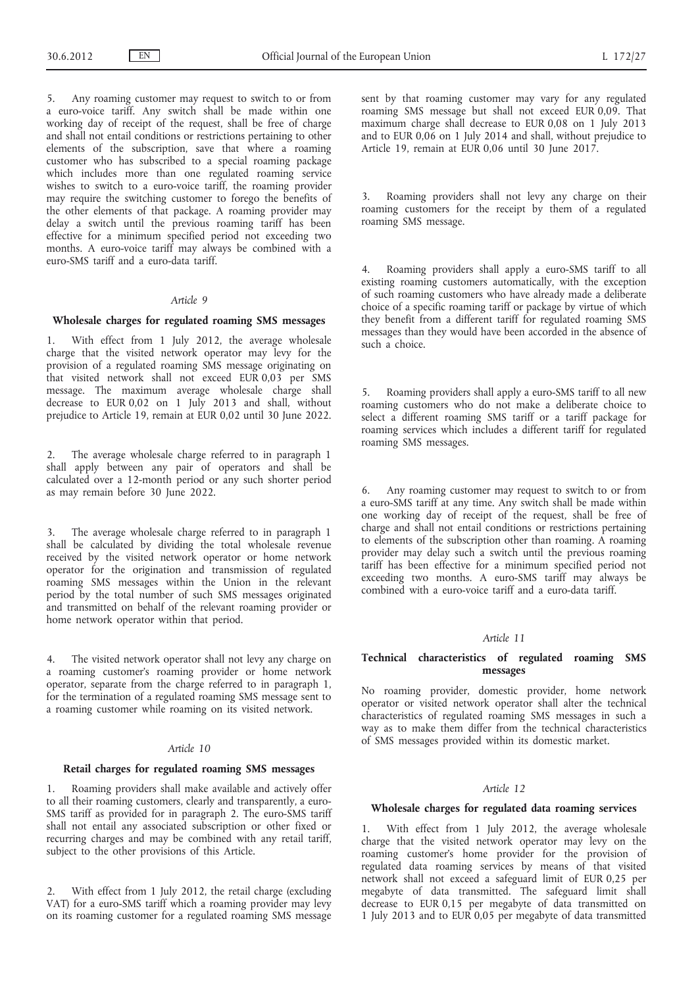5. Any roaming customer may request to switch to or from a euro-voice tariff. Any switch shall be made within one working day of receipt of the request, shall be free of charge and shall not entail conditions or restrictions pertaining to other elements of the subscription, save that where a roaming customer who has subscribed to a special roaming package which includes more than one regulated roaming service wishes to switch to a euro-voice tariff, the roaming provider may require the switching customer to forego the benefits of the other elements of that package. A roaming provider may delay a switch until the previous roaming tariff has been effective for a minimum specified period not exceeding two months. A euro-voice tariff may always be combined with a euro-SMS tariff and a euro-data tariff.

## *Article 9*

#### **Wholesale charges for regulated roaming SMS messages**

1. With effect from 1 July 2012, the average wholesale charge that the visited network operator may levy for the provision of a regulated roaming SMS message originating on that visited network shall not exceed EUR 0,03 per SMS message. The maximum average wholesale charge shall decrease to EUR 0,02 on 1 July 2013 and shall, without prejudice to Article 19, remain at EUR 0,02 until 30 June 2022.

2. The average wholesale charge referred to in paragraph 1 shall apply between any pair of operators and shall be calculated over a 12-month period or any such shorter period as may remain before 30 June 2022.

3. The average wholesale charge referred to in paragraph 1 shall be calculated by dividing the total wholesale revenue received by the visited network operator or home network operator for the origination and transmission of regulated roaming SMS messages within the Union in the relevant period by the total number of such SMS messages originated and transmitted on behalf of the relevant roaming provider or home network operator within that period.

4. The visited network operator shall not levy any charge on a roaming customer's roaming provider or home network operator, separate from the charge referred to in paragraph 1, for the termination of a regulated roaming SMS message sent to a roaming customer while roaming on its visited network.

#### *Article 10*

#### **Retail charges for regulated roaming SMS messages**

1. Roaming providers shall make available and actively offer to all their roaming customers, clearly and transparently, a euro-SMS tariff as provided for in paragraph 2. The euro-SMS tariff shall not entail any associated subscription or other fixed or recurring charges and may be combined with any retail tariff, subject to the other provisions of this Article.

2. With effect from 1 July 2012, the retail charge (excluding VAT) for a euro-SMS tariff which a roaming provider may levy on its roaming customer for a regulated roaming SMS message sent by that roaming customer may vary for any regulated roaming SMS message but shall not exceed EUR 0,09. That maximum charge shall decrease to EUR 0,08 on 1 July 2013 and to EUR 0,06 on 1 July 2014 and shall, without prejudice to Article 19, remain at EUR 0,06 until 30 June 2017.

3. Roaming providers shall not levy any charge on their roaming customers for the receipt by them of a regulated roaming SMS message.

4. Roaming providers shall apply a euro-SMS tariff to all existing roaming customers automatically, with the exception of such roaming customers who have already made a deliberate choice of a specific roaming tariff or package by virtue of which they benefit from a different tariff for regulated roaming SMS messages than they would have been accorded in the absence of such a choice.

5. Roaming providers shall apply a euro-SMS tariff to all new roaming customers who do not make a deliberate choice to select a different roaming SMS tariff or a tariff package for roaming services which includes a different tariff for regulated roaming SMS messages.

6. Any roaming customer may request to switch to or from a euro-SMS tariff at any time. Any switch shall be made within one working day of receipt of the request, shall be free of charge and shall not entail conditions or restrictions pertaining to elements of the subscription other than roaming. A roaming provider may delay such a switch until the previous roaming tariff has been effective for a minimum specified period not exceeding two months. A euro-SMS tariff may always be combined with a euro-voice tariff and a euro-data tariff.

## *Article 11*

## **Technical characteristics of regulated roaming SMS messages**

No roaming provider, domestic provider, home network operator or visited network operator shall alter the technical characteristics of regulated roaming SMS messages in such a way as to make them differ from the technical characteristics of SMS messages provided within its domestic market.

#### *Article 12*

### **Wholesale charges for regulated data roaming services**

1. With effect from 1 July 2012, the average wholesale charge that the visited network operator may levy on the roaming customer's home provider for the provision of regulated data roaming services by means of that visited network shall not exceed a safeguard limit of EUR 0,25 per megabyte of data transmitted. The safeguard limit shall decrease to EUR 0,15 per megabyte of data transmitted on 1 July 2013 and to EUR 0,05 per megabyte of data transmitted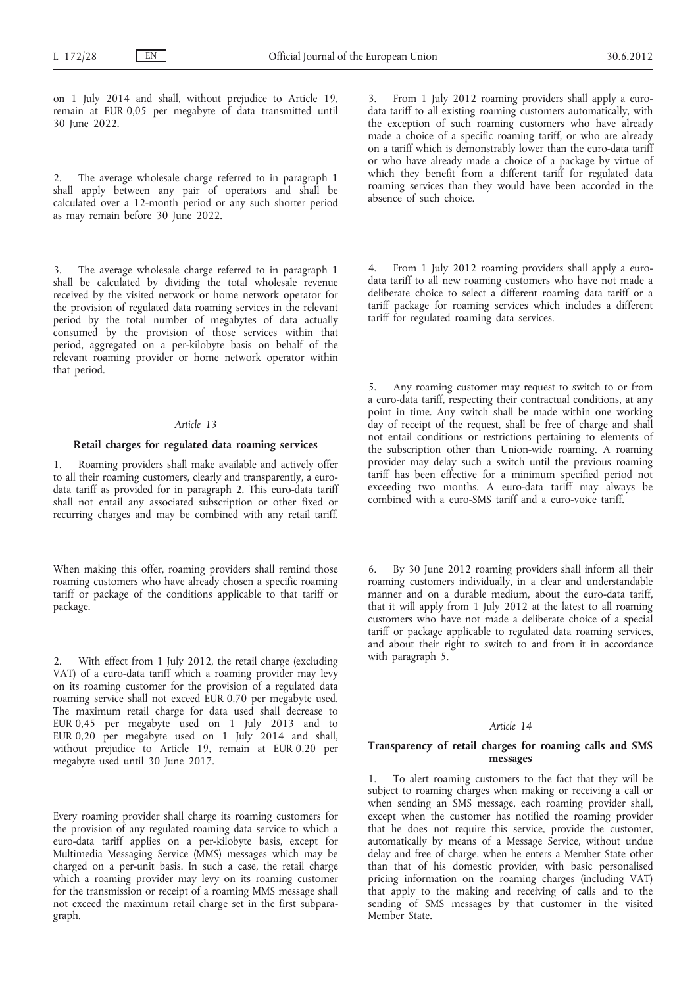on 1 July 2014 and shall, without prejudice to Article 19, remain at EUR 0,05 per megabyte of data transmitted until 30 June 2022.

2. The average wholesale charge referred to in paragraph 1 shall apply between any pair of operators and shall be calculated over a 12-month period or any such shorter period as may remain before 30 June 2022.

3. The average wholesale charge referred to in paragraph 1 shall be calculated by dividing the total wholesale revenue received by the visited network or home network operator for the provision of regulated data roaming services in the relevant period by the total number of megabytes of data actually consumed by the provision of those services within that period, aggregated on a per-kilobyte basis on behalf of the relevant roaming provider or home network operator within that period.

## *Article 13*

## **Retail charges for regulated data roaming services**

Roaming providers shall make available and actively offer to all their roaming customers, clearly and transparently, a eurodata tariff as provided for in paragraph 2. This euro-data tariff shall not entail any associated subscription or other fixed or recurring charges and may be combined with any retail tariff.

When making this offer, roaming providers shall remind those roaming customers who have already chosen a specific roaming tariff or package of the conditions applicable to that tariff or package.

With effect from 1 July 2012, the retail charge (excluding VAT) of a euro-data tariff which a roaming provider may levy on its roaming customer for the provision of a regulated data roaming service shall not exceed EUR 0,70 per megabyte used. The maximum retail charge for data used shall decrease to EUR 0,45 per megabyte used on 1 July 2013 and to EUR 0,20 per megabyte used on 1 July 2014 and shall, without prejudice to Article 19, remain at EUR 0,20 per megabyte used until 30 June 2017.

Every roaming provider shall charge its roaming customers for the provision of any regulated roaming data service to which a euro-data tariff applies on a per-kilobyte basis, except for Multimedia Messaging Service (MMS) messages which may be charged on a per-unit basis. In such a case, the retail charge which a roaming provider may levy on its roaming customer for the transmission or receipt of a roaming MMS message shall not exceed the maximum retail charge set in the first subparagraph.

3. From 1 July 2012 roaming providers shall apply a eurodata tariff to all existing roaming customers automatically, with the exception of such roaming customers who have already made a choice of a specific roaming tariff, or who are already on a tariff which is demonstrably lower than the euro-data tariff or who have already made a choice of a package by virtue of which they benefit from a different tariff for regulated data roaming services than they would have been accorded in the absence of such choice.

4. From 1 July 2012 roaming providers shall apply a eurodata tariff to all new roaming customers who have not made a deliberate choice to select a different roaming data tariff or a tariff package for roaming services which includes a different tariff for regulated roaming data services.

5. Any roaming customer may request to switch to or from a euro-data tariff, respecting their contractual conditions, at any point in time. Any switch shall be made within one working day of receipt of the request, shall be free of charge and shall not entail conditions or restrictions pertaining to elements of the subscription other than Union-wide roaming. A roaming provider may delay such a switch until the previous roaming tariff has been effective for a minimum specified period not exceeding two months. A euro-data tariff may always be combined with a euro-SMS tariff and a euro-voice tariff.

By 30 June 2012 roaming providers shall inform all their roaming customers individually, in a clear and understandable manner and on a durable medium, about the euro-data tariff, that it will apply from 1 July 2012 at the latest to all roaming customers who have not made a deliberate choice of a special tariff or package applicable to regulated data roaming services, and about their right to switch to and from it in accordance with paragraph 5.

#### *Article 14*

## **Transparency of retail charges for roaming calls and SMS messages**

1. To alert roaming customers to the fact that they will be subject to roaming charges when making or receiving a call or when sending an SMS message, each roaming provider shall, except when the customer has notified the roaming provider that he does not require this service, provide the customer, automatically by means of a Message Service, without undue delay and free of charge, when he enters a Member State other than that of his domestic provider, with basic personalised pricing information on the roaming charges (including VAT) that apply to the making and receiving of calls and to the sending of SMS messages by that customer in the visited Member State.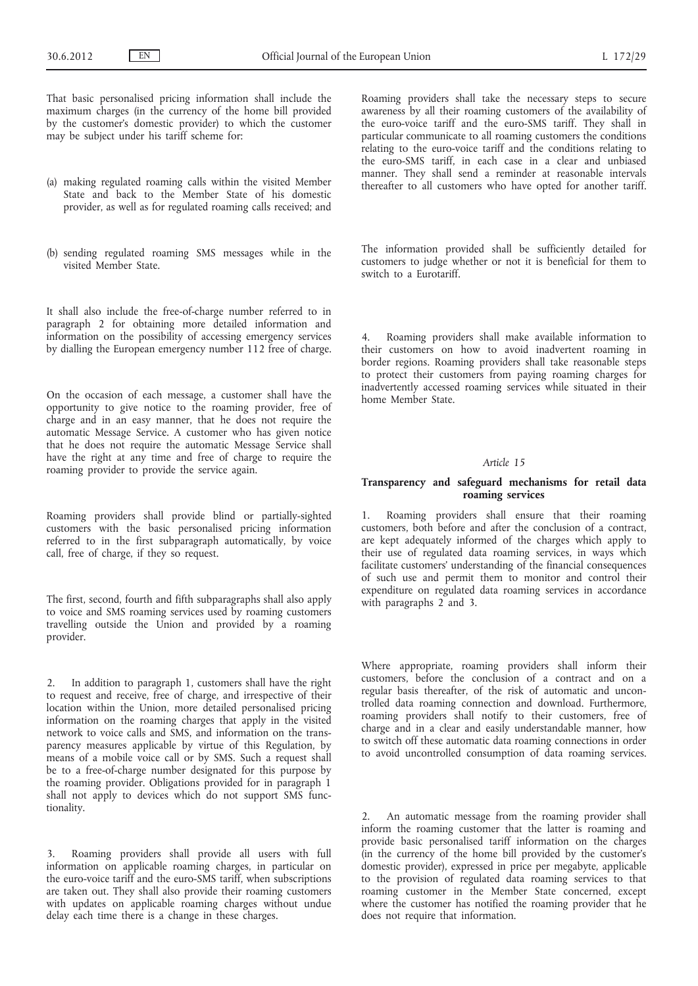That basic personalised pricing information shall include the maximum charges (in the currency of the home bill provided by the customer's domestic provider) to which the customer may be subject under his tariff scheme for:

- (a) making regulated roaming calls within the visited Member State and back to the Member State of his domestic provider, as well as for regulated roaming calls received; and
- (b) sending regulated roaming SMS messages while in the visited Member State.

It shall also include the free-of-charge number referred to in paragraph 2 for obtaining more detailed information and information on the possibility of accessing emergency services by dialling the European emergency number 112 free of charge.

On the occasion of each message, a customer shall have the opportunity to give notice to the roaming provider, free of charge and in an easy manner, that he does not require the automatic Message Service. A customer who has given notice that he does not require the automatic Message Service shall have the right at any time and free of charge to require the roaming provider to provide the service again.

Roaming providers shall provide blind or partially-sighted customers with the basic personalised pricing information referred to in the first subparagraph automatically, by voice call, free of charge, if they so request.

The first, second, fourth and fifth subparagraphs shall also apply to voice and SMS roaming services used by roaming customers travelling outside the Union and provided by a roaming provider.

2. In addition to paragraph 1, customers shall have the right to request and receive, free of charge, and irrespective of their location within the Union, more detailed personalised pricing information on the roaming charges that apply in the visited network to voice calls and SMS, and information on the transparency measures applicable by virtue of this Regulation, by means of a mobile voice call or by SMS. Such a request shall be to a free-of-charge number designated for this purpose by the roaming provider. Obligations provided for in paragraph 1 shall not apply to devices which do not support SMS functionality.

3. Roaming providers shall provide all users with full information on applicable roaming charges, in particular on the euro-voice tariff and the euro-SMS tariff, when subscriptions are taken out. They shall also provide their roaming customers with updates on applicable roaming charges without undue delay each time there is a change in these charges.

Roaming providers shall take the necessary steps to secure awareness by all their roaming customers of the availability of the euro-voice tariff and the euro-SMS tariff. They shall in particular communicate to all roaming customers the conditions relating to the euro-voice tariff and the conditions relating to the euro-SMS tariff, in each case in a clear and unbiased manner. They shall send a reminder at reasonable intervals thereafter to all customers who have opted for another tariff.

The information provided shall be sufficiently detailed for customers to judge whether or not it is beneficial for them to switch to a Eurotariff.

4. Roaming providers shall make available information to their customers on how to avoid inadvertent roaming in border regions. Roaming providers shall take reasonable steps to protect their customers from paying roaming charges for inadvertently accessed roaming services while situated in their home Member State.

#### *Article 15*

## **Transparency and safeguard mechanisms for retail data roaming services**

1. Roaming providers shall ensure that their roaming customers, both before and after the conclusion of a contract, are kept adequately informed of the charges which apply to their use of regulated data roaming services, in ways which facilitate customers' understanding of the financial consequences of such use and permit them to monitor and control their expenditure on regulated data roaming services in accordance with paragraphs 2 and 3.

Where appropriate, roaming providers shall inform their customers, before the conclusion of a contract and on a regular basis thereafter, of the risk of automatic and uncontrolled data roaming connection and download. Furthermore, roaming providers shall notify to their customers, free of charge and in a clear and easily understandable manner, how to switch off these automatic data roaming connections in order to avoid uncontrolled consumption of data roaming services.

2. An automatic message from the roaming provider shall inform the roaming customer that the latter is roaming and provide basic personalised tariff information on the charges (in the currency of the home bill provided by the customer's domestic provider), expressed in price per megabyte, applicable to the provision of regulated data roaming services to that roaming customer in the Member State concerned, except where the customer has notified the roaming provider that he does not require that information.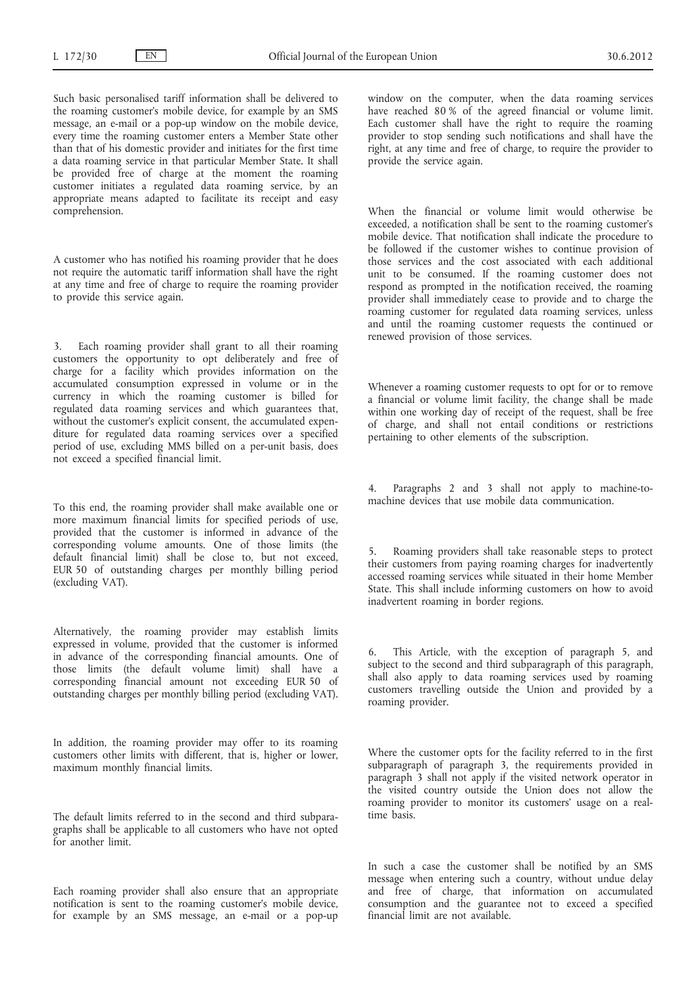Such basic personalised tariff information shall be delivered to the roaming customer's mobile device, for example by an SMS message, an e-mail or a pop-up window on the mobile device, every time the roaming customer enters a Member State other than that of his domestic provider and initiates for the first time a data roaming service in that particular Member State. It shall be provided free of charge at the moment the roaming customer initiates a regulated data roaming service, by an appropriate means adapted to facilitate its receipt and easy comprehension.

A customer who has notified his roaming provider that he does not require the automatic tariff information shall have the right at any time and free of charge to require the roaming provider to provide this service again.

Each roaming provider shall grant to all their roaming customers the opportunity to opt deliberately and free of charge for a facility which provides information on the accumulated consumption expressed in volume or in the currency in which the roaming customer is billed for regulated data roaming services and which guarantees that, without the customer's explicit consent, the accumulated expenditure for regulated data roaming services over a specified period of use, excluding MMS billed on a per-unit basis, does not exceed a specified financial limit.

To this end, the roaming provider shall make available one or more maximum financial limits for specified periods of use, provided that the customer is informed in advance of the corresponding volume amounts. One of those limits (the default financial limit) shall be close to, but not exceed, EUR 50 of outstanding charges per monthly billing period (excluding VAT).

Alternatively, the roaming provider may establish limits expressed in volume, provided that the customer is informed in advance of the corresponding financial amounts. One of those limits (the default volume limit) shall have a corresponding financial amount not exceeding EUR 50 of outstanding charges per monthly billing period (excluding VAT).

In addition, the roaming provider may offer to its roaming customers other limits with different, that is, higher or lower, maximum monthly financial limits.

The default limits referred to in the second and third subparagraphs shall be applicable to all customers who have not opted for another limit.

Each roaming provider shall also ensure that an appropriate notification is sent to the roaming customer's mobile device, for example by an SMS message, an e-mail or a pop-up window on the computer, when the data roaming services have reached 80 % of the agreed financial or volume limit. Each customer shall have the right to require the roaming provider to stop sending such notifications and shall have the right, at any time and free of charge, to require the provider to provide the service again.

When the financial or volume limit would otherwise be exceeded, a notification shall be sent to the roaming customer's mobile device. That notification shall indicate the procedure to be followed if the customer wishes to continue provision of those services and the cost associated with each additional unit to be consumed. If the roaming customer does not respond as prompted in the notification received, the roaming provider shall immediately cease to provide and to charge the roaming customer for regulated data roaming services, unless and until the roaming customer requests the continued or renewed provision of those services.

Whenever a roaming customer requests to opt for or to remove a financial or volume limit facility, the change shall be made within one working day of receipt of the request, shall be free of charge, and shall not entail conditions or restrictions pertaining to other elements of the subscription.

4. Paragraphs 2 and 3 shall not apply to machine-tomachine devices that use mobile data communication.

5. Roaming providers shall take reasonable steps to protect their customers from paying roaming charges for inadvertently accessed roaming services while situated in their home Member State. This shall include informing customers on how to avoid inadvertent roaming in border regions.

6. This Article, with the exception of paragraph 5, and subject to the second and third subparagraph of this paragraph, shall also apply to data roaming services used by roaming customers travelling outside the Union and provided by a roaming provider.

Where the customer opts for the facility referred to in the first subparagraph of paragraph 3, the requirements provided in paragraph 3 shall not apply if the visited network operator in the visited country outside the Union does not allow the roaming provider to monitor its customers' usage on a realtime basis.

In such a case the customer shall be notified by an SMS message when entering such a country, without undue delay and free of charge, that information on accumulated consumption and the guarantee not to exceed a specified financial limit are not available.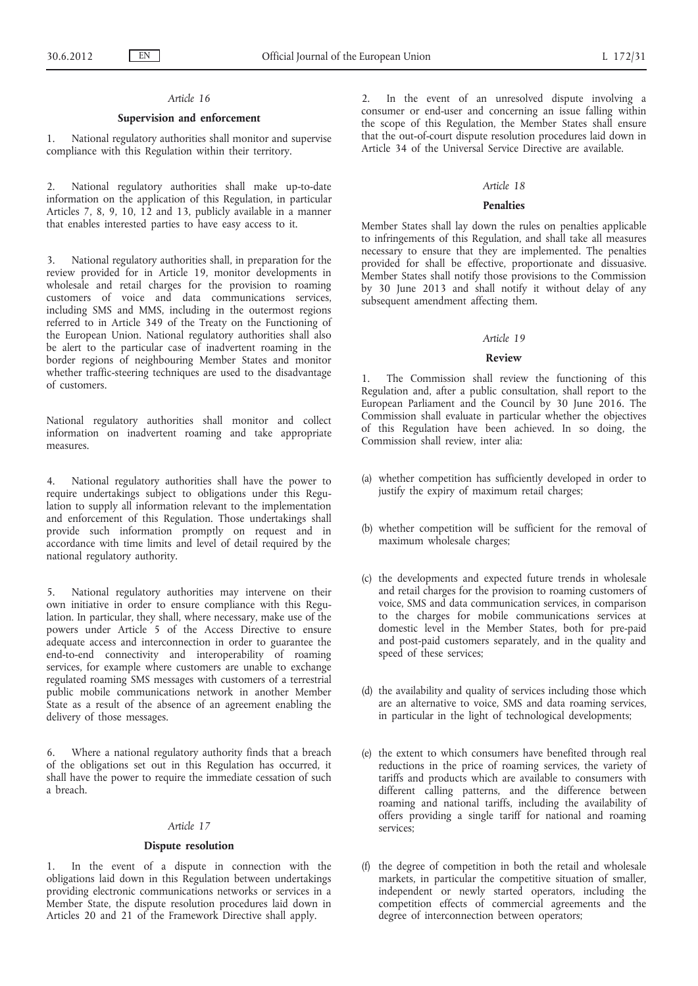## *Article 16*

## **Supervision and enforcement**

1. National regulatory authorities shall monitor and supervise compliance with this Regulation within their territory.

National regulatory authorities shall make up-to-date information on the application of this Regulation, in particular Articles 7, 8, 9, 10, 12 and 13, publicly available in a manner that enables interested parties to have easy access to it.

3. National regulatory authorities shall, in preparation for the review provided for in Article 19, monitor developments in wholesale and retail charges for the provision to roaming customers of voice and data communications services, including SMS and MMS, including in the outermost regions referred to in Article 349 of the Treaty on the Functioning of the European Union. National regulatory authorities shall also be alert to the particular case of inadvertent roaming in the border regions of neighbouring Member States and monitor whether traffic-steering techniques are used to the disadvantage of customers.

National regulatory authorities shall monitor and collect information on inadvertent roaming and take appropriate measures.

4. National regulatory authorities shall have the power to require undertakings subject to obligations under this Regulation to supply all information relevant to the implementation and enforcement of this Regulation. Those undertakings shall provide such information promptly on request and in accordance with time limits and level of detail required by the national regulatory authority.

5. National regulatory authorities may intervene on their own initiative in order to ensure compliance with this Regulation. In particular, they shall, where necessary, make use of the powers under Article 5 of the Access Directive to ensure adequate access and interconnection in order to guarantee the end-to-end connectivity and interoperability of roaming services, for example where customers are unable to exchange regulated roaming SMS messages with customers of a terrestrial public mobile communications network in another Member State as a result of the absence of an agreement enabling the delivery of those messages.

6. Where a national regulatory authority finds that a breach of the obligations set out in this Regulation has occurred, it shall have the power to require the immediate cessation of such a breach.

## *Article 17*

#### **Dispute resolution**

1. In the event of a dispute in connection with the obligations laid down in this Regulation between undertakings providing electronic communications networks or services in a Member State, the dispute resolution procedures laid down in Articles 20 and 21 of the Framework Directive shall apply.

In the event of an unresolved dispute involving a consumer or end-user and concerning an issue falling within the scope of this Regulation, the Member States shall ensure that the out-of-court dispute resolution procedures laid down in Article 34 of the Universal Service Directive are available.

## *Article 18*

#### **Penalties**

Member States shall lay down the rules on penalties applicable to infringements of this Regulation, and shall take all measures necessary to ensure that they are implemented. The penalties provided for shall be effective, proportionate and dissuasive. Member States shall notify those provisions to the Commission by 30 June 2013 and shall notify it without delay of any subsequent amendment affecting them.

# *Article 19*

## **Review**

The Commission shall review the functioning of this Regulation and, after a public consultation, shall report to the European Parliament and the Council by 30 June 2016. The Commission shall evaluate in particular whether the objectives of this Regulation have been achieved. In so doing, the Commission shall review, inter alia:

- (a) whether competition has sufficiently developed in order to justify the expiry of maximum retail charges;
- (b) whether competition will be sufficient for the removal of maximum wholesale charges;
- (c) the developments and expected future trends in wholesale and retail charges for the provision to roaming customers of voice, SMS and data communication services, in comparison to the charges for mobile communications services at domestic level in the Member States, both for pre-paid and post-paid customers separately, and in the quality and speed of these services;
- (d) the availability and quality of services including those which are an alternative to voice, SMS and data roaming services, in particular in the light of technological developments;
- (e) the extent to which consumers have benefited through real reductions in the price of roaming services, the variety of tariffs and products which are available to consumers with different calling patterns, and the difference between roaming and national tariffs, including the availability of offers providing a single tariff for national and roaming services;
- (f) the degree of competition in both the retail and wholesale markets, in particular the competitive situation of smaller, independent or newly started operators, including the competition effects of commercial agreements and the degree of interconnection between operators;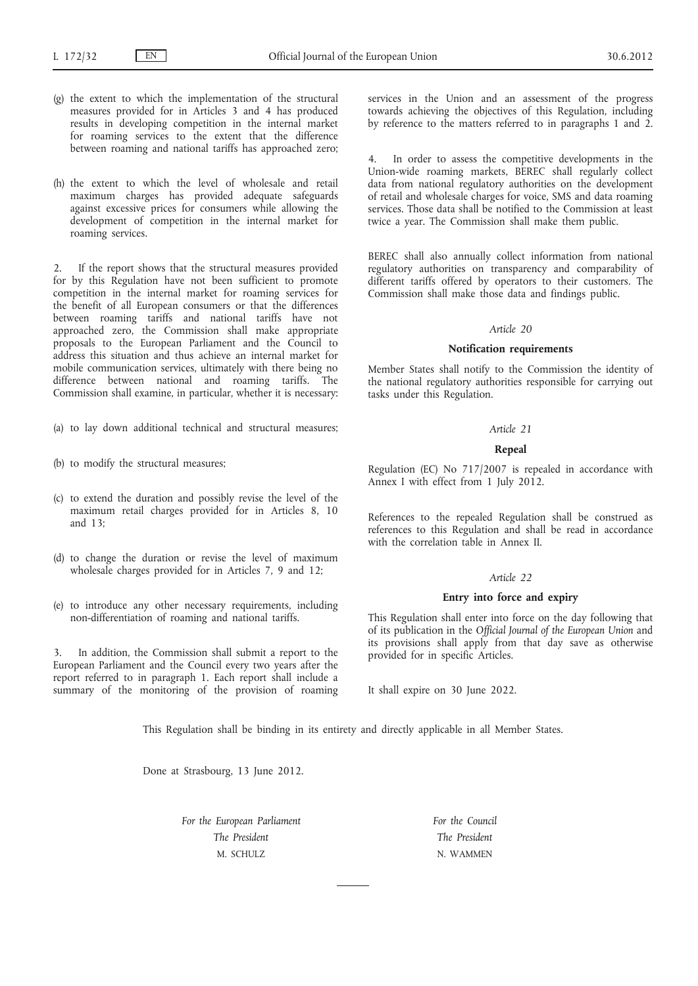- (g) the extent to which the implementation of the structural measures provided for in Articles 3 and 4 has produced results in developing competition in the internal market for roaming services to the extent that the difference between roaming and national tariffs has approached zero;
- (h) the extent to which the level of wholesale and retail maximum charges has provided adequate safeguards against excessive prices for consumers while allowing the development of competition in the internal market for roaming services.

If the report shows that the structural measures provided for by this Regulation have not been sufficient to promote competition in the internal market for roaming services for the benefit of all European consumers or that the differences between roaming tariffs and national tariffs have not approached zero, the Commission shall make appropriate proposals to the European Parliament and the Council to address this situation and thus achieve an internal market for mobile communication services, ultimately with there being no difference between national and roaming tariffs. The Commission shall examine, in particular, whether it is necessary:

- (a) to lay down additional technical and structural measures;
- (b) to modify the structural measures;
- (c) to extend the duration and possibly revise the level of the maximum retail charges provided for in Articles 8, 10 and 13;
- (d) to change the duration or revise the level of maximum wholesale charges provided for in Articles 7, 9 and 12;
- (e) to introduce any other necessary requirements, including non-differentiation of roaming and national tariffs.

In addition, the Commission shall submit a report to the European Parliament and the Council every two years after the report referred to in paragraph 1. Each report shall include a summary of the monitoring of the provision of roaming services in the Union and an assessment of the progress towards achieving the objectives of this Regulation, including by reference to the matters referred to in paragraphs 1 and 2.

4. In order to assess the competitive developments in the Union-wide roaming markets, BEREC shall regularly collect data from national regulatory authorities on the development of retail and wholesale charges for voice, SMS and data roaming services. Those data shall be notified to the Commission at least twice a year. The Commission shall make them public.

BEREC shall also annually collect information from national regulatory authorities on transparency and comparability of different tariffs offered by operators to their customers. The Commission shall make those data and findings public.

#### *Article 20*

#### **Notification requirements**

Member States shall notify to the Commission the identity of the national regulatory authorities responsible for carrying out tasks under this Regulation.

#### *Article 21*

#### **Repeal**

Regulation (EC) No 717/2007 is repealed in accordance with Annex I with effect from 1 July 2012.

References to the repealed Regulation shall be construed as references to this Regulation and shall be read in accordance with the correlation table in Annex II.

# *Article 22*

## **Entry into force and expiry**

This Regulation shall enter into force on the day following that of its publication in the *Official Journal of the European Union* and its provisions shall apply from that day save as otherwise provided for in specific Articles.

It shall expire on 30 June 2022.

This Regulation shall be binding in its entirety and directly applicable in all Member States.

Done at Strasbourg, 13 June 2012.

*For the European Parliament The President* M. SCHULZ

*For the Council The President* N. WAMMEN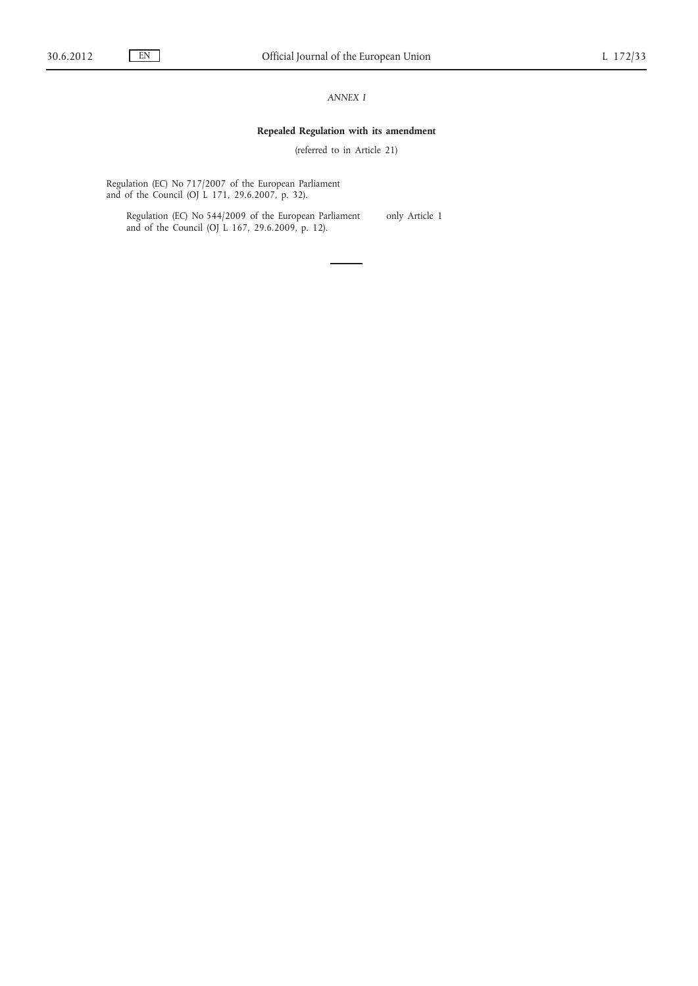# *ANNEX I*

## **Repealed Regulation with its amendment**

(referred to in Article 21)

Regulation (EC) No 717/2007 of the European Parliament and of the Council (OJ L 171, 29.6.2007, p. 32).

Regulation (EC) No 544/2009 of the European Parliament and of the Council (OJ L 167, 29.6.2009, p. 12).

only Article 1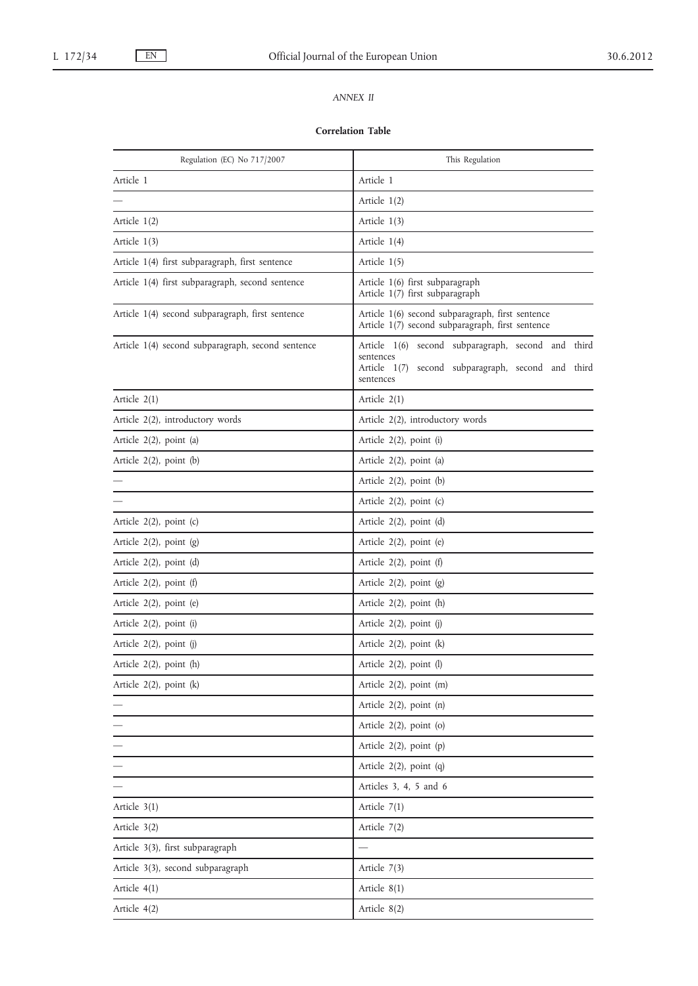# *ANNEX II*

## **Correlation Table**

| Regulation (EC) No 717/2007                       | This Regulation                                                                                                                    |
|---------------------------------------------------|------------------------------------------------------------------------------------------------------------------------------------|
| Article 1                                         | Article 1                                                                                                                          |
|                                                   | Article 1(2)                                                                                                                       |
| Article 1(2)                                      | Article 1(3)                                                                                                                       |
| Article 1(3)                                      | Article 1(4)                                                                                                                       |
| Article 1(4) first subparagraph, first sentence   | Article $1(5)$                                                                                                                     |
| Article 1(4) first subparagraph, second sentence  | Article 1(6) first subparagraph<br>Article 1(7) first subparagraph                                                                 |
| Article 1(4) second subparagraph, first sentence  | Article 1(6) second subparagraph, first sentence<br>Article 1(7) second subparagraph, first sentence                               |
| Article 1(4) second subparagraph, second sentence | Article 1(6) second subparagraph, second and third<br>sentences<br>Article 1(7) second subparagraph, second and third<br>sentences |
| Article 2(1)                                      | Article $2(1)$                                                                                                                     |
| Article 2(2), introductory words                  | Article 2(2), introductory words                                                                                                   |
| Article 2(2), point (a)                           | Article 2(2), point (i)                                                                                                            |
| Article $2(2)$ , point $(b)$                      | Article 2(2), point (a)                                                                                                            |
|                                                   | Article 2(2), point (b)                                                                                                            |
|                                                   | Article $2(2)$ , point (c)                                                                                                         |
| Article 2(2), point (c)                           | Article 2(2), point (d)                                                                                                            |
| Article 2(2), point (g)                           | Article 2(2), point (e)                                                                                                            |
| Article 2(2), point (d)                           | Article 2(2), point (f)                                                                                                            |
| Article $2(2)$ , point $(f)$                      | Article $2(2)$ , point $(g)$                                                                                                       |
| Article 2(2), point (e)                           | Article $2(2)$ , point $(h)$                                                                                                       |
| Article 2(2), point (i)                           | Article 2(2), point (j)                                                                                                            |
| Article 2(2), point (j)                           | Article $2(2)$ , point $(k)$                                                                                                       |
| Article $2(2)$ , point $(h)$                      | Article 2(2), point (l)                                                                                                            |
| Article 2(2), point (k)                           | Article 2(2), point (m)                                                                                                            |
|                                                   | Article $2(2)$ , point $(n)$                                                                                                       |
|                                                   | Article $2(2)$ , point (o)                                                                                                         |
|                                                   | Article 2(2), point (p)                                                                                                            |
|                                                   | Article 2(2), point (q)                                                                                                            |
|                                                   | Articles 3, 4, 5 and 6                                                                                                             |
| Article $3(1)$                                    | Article $7(1)$                                                                                                                     |
| Article 3(2)                                      | Article 7(2)                                                                                                                       |
| Article 3(3), first subparagraph                  |                                                                                                                                    |
| Article 3(3), second subparagraph                 | Article 7(3)                                                                                                                       |
| Article $4(1)$                                    | Article 8(1)                                                                                                                       |
| Article 4(2)                                      | Article 8(2)                                                                                                                       |